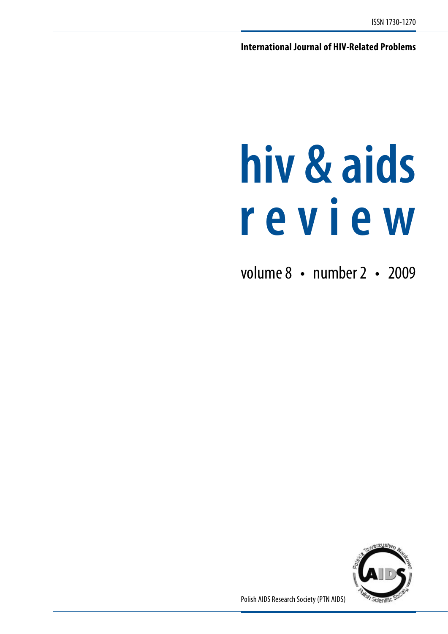**International Journal of HIV-Related Problems**

# **hiv & aids r e v i e w**

volume 8 • number 2 • 2009



Polish AIDS Research Society (PTN AIDS)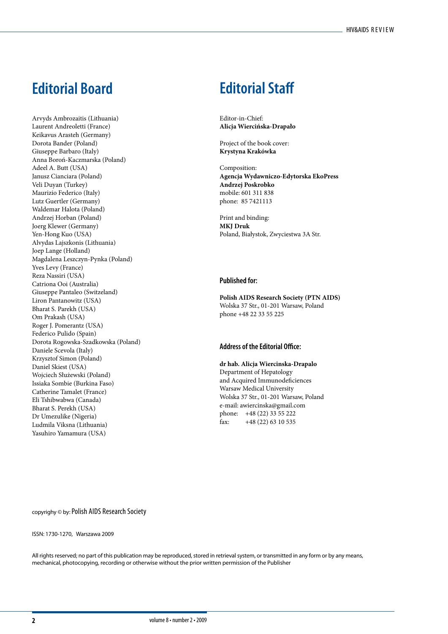# **Editorial Board Editorial Staff**

Arvyds Ambrozaitis (Lithuania) Laurent Andreoletti (France) Keikavus Arasteh (Germany) Dorota Bander (Poland) Giuseppe Barbaro (Italy) Anna Boroń-Kaczmarska (Poland) Adeel A. Butt (USA) Janusz Cianciara (Poland) Veli Duyan (Turkey) Maurizio Federico (Italy) Lutz Guertler (Germany) Waldemar Halota (Poland) Andrzej Horban (Poland) Joerg Klewer (Germany) Yen-Hong Kuo (USA) Alvydas Lajszkonis (Lithuania) Joep Lange (Holland) Magdalena Leszczyn-Pynka (Poland) Yves Levy (France) Reza Nassiri (USA) Catriona Ooi (Australia) Giuseppe Pantaleo (Switzeland) Liron Pantanowitz (USA) Bharat S. Parekh (USA) Om Prakash (USA) Roger J. Pomerantz (USA) Federico Pulido (Spain) Dorota Rogowska-Szadkowska (Poland) Daniele Scevola (Italy) Krzysztof Simon (Poland) Daniel Skiest (USA) Wojciech Służewski (Poland) Issiaka Sombie (Burkina Faso) Catherine Tamalet (France) Eli Tshibwabwa (Canada) Bharat S. Perekh (USA) Dr Umezulike (Nigeria) Ludmila Viksna (Lithuania) Yasuhiro Yamamura (USA)

Editor-in-Chief: **Alicja Wiercińska-Drapało**

Project of the book cover: **Krystyna Krakówka**

Composition: **Agencja Wydawniczo-Edytorska EkoPress Andrzej Poskrobko** mobile: 601 311 838 phone: 85 7421113

Print and binding: **MKJ Druk** Poland, Białystok, Zwyciestwa 3A Str.

## **Published for:**

**Polish AIDS Research Society (PTN AIDS)** Wolska 37 Str., 01-201 Warsaw, Poland phone +48 22 33 55 225

#### **Address of the Editorial Office:**

**dr hab. Alicja Wiercinska-Drapalo** Department of Hepatology and Acquired Immunodeficiences Warsaw Medical University Wolska 37 Str., 01-201 Warsaw, Poland e-mail: awiercinska@gmail.com phone: +48 (22) 33 55 222 fax: +48 (22) 63 10 535

copyrighy © by: Polish AIDS Research Society

#### ISSN: 1730-1270, Warszawa 2009

All rights reserved; no part of this publication may be reproduced, stored in retrieval system, or transmitted in any form or by any means, mechanical, photocopying, recording or otherwise without the prior written permission of the Publisher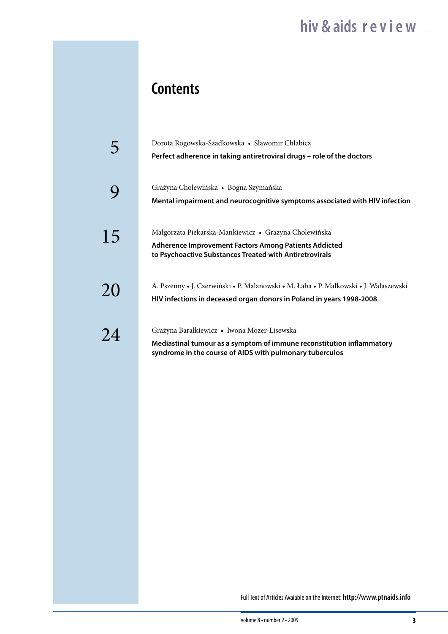# **Contents**

|    | Dorota Rogowska-Szadkowska · Sławomir Chlabicz<br>Perfect adherence in taking antiretroviral drugs - role of the doctors                                                         |
|----|----------------------------------------------------------------------------------------------------------------------------------------------------------------------------------|
|    | Grażyna Cholewińska • Bogna Szymańska<br>Mental impairment and neurocognitive symptoms associated with HIV infection                                                             |
| 15 | Małgorzata Piekarska-Mankiewicz • Grażyna Cholewińska<br>Adherence Improvement Factors Among Patients Addicted<br>to Psychoactive Substances Treated with Antiretrovirals        |
| 20 | A. Pszenny • J. Czerwiński • P. Malanowski • M. Łaba • P. Małkowski • J. Wałaszewski<br>HIV infections in deceased organ donors in Poland in years 1998-2008                     |
| 24 | Grażyna Barałkiewicz • Iwona Mozer-Lisewska<br>Mediastinal tumour as a symptom of immune reconstitution inflammatory<br>syndrome in the course of AIDS with pulmonary tuberculos |

Full Text of Articles Avaiable on the Internet: **http://www.ptnaids.info**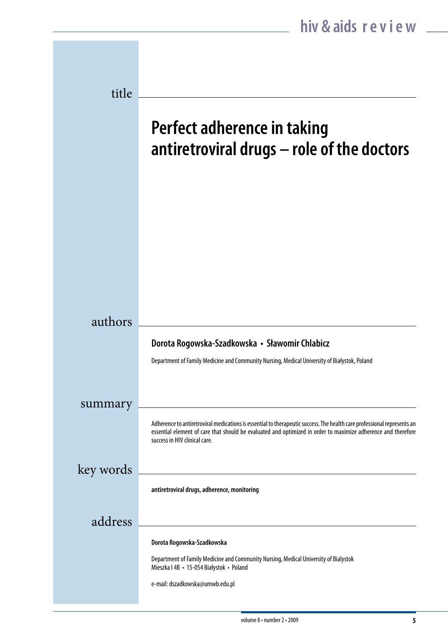| title     |                                                                                                                                                                                                                                                                           |
|-----------|---------------------------------------------------------------------------------------------------------------------------------------------------------------------------------------------------------------------------------------------------------------------------|
|           | Perfect adherence in taking<br>antiretroviral drugs - role of the doctors                                                                                                                                                                                                 |
|           |                                                                                                                                                                                                                                                                           |
|           |                                                                                                                                                                                                                                                                           |
| authors   | Dorota Rogowska-Szadkowska • Sławomir Chlabicz<br>Department of Family Medicine and Community Nursing, Medical University of Białystok, Poland                                                                                                                            |
| summary   | Adherence to antiretroviral medications is essential to therapeutic success. The health care professional represents an<br>essential element of care that should be evaluated and optimized in order to maximize adherence and therefore<br>success in HIV clinical care. |
| key words | antiretroviral drugs, adherence, monitoring                                                                                                                                                                                                                               |
| address   |                                                                                                                                                                                                                                                                           |
|           | Dorota Rogowska-Szadkowska<br>Department of Family Medicine and Community Nursing, Medical University of Bialystok<br>Mieszka I 4B · 15-054 Białystok · Poland<br>e-mail: dszadkowska@umwb.edu.pl                                                                         |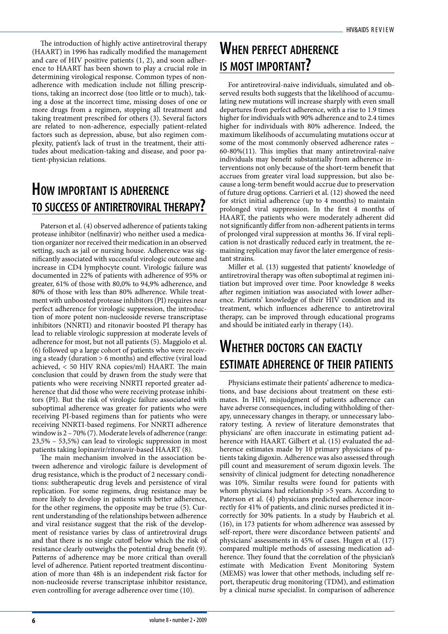The introduction of highly active antiretroviral therapy (HAART) in 1996 has radically modified the management and care of HIV positive patients (1, 2), and soon adherence to HAART has been shown to play a crucial role in determining virological response. Common types of nonadherence with medication include not filling prescriptions, taking an incorrect dose (too little or to much), taking a dose at the incorrect time, missing doses of one or more drugs from a regimen, stopping all treatment and taking treatment prescribed for others (3). Several factors are related to non-adherence, especially patient-related factors such as depression, abuse, but also regimen complexity, patient's lack of trust in the treatment, their attitudes about medication-taking and disease, and poor patient-physician relations.

# **How important is adherence to success of antiretroviral therapy?**

Paterson et al. (4) observed adherence of patients taking protease inhibitor (nelfinavir) who neither used a medication organizer nor received their medication in an observed setting, such as jail or nursing house. Adherence was significantly associated with successful virologic outcome and increase in CD4 lymphocyte count. Virologic failure was documented in 22% of patients with adherence of 95% or greater, 61% of those with 80,0% to 94,9% adherence, and 80% of those with less than 80% adherence. While treatment with unboosted protease inhibitors (PI) requires near perfect adherence for virologic suppression, the introduction of more potent non-nucleoside reverse transcriptase inhibitors (NNRTI) and ritonavir boosted PI therapy has lead to reliable virologic suppression at moderate levels of adherence for most, but not all patients (5). Maggiolo et al. (6) followed up a large cohort of patients who were receiving a steady (duration > 6 months) and effective (viral load achieved, < 50 HIV RNA copies/ml) HAART. The main conclusion that could by drawn from the study were that patients who were receiving NNRTI reported greater adherence that did those who were receiving protease inhibitors (PI). But the risk of virologic failure associated with suboptimal adherence was greater for patients who were receiving PI-based regimens than for patients who were receiving NNRTI-based regimens. For NNRTI adherence window is 2 – 70% (7). Moderate levels of adherence (range: 23,5% – 53,5%) can lead to virologic suppression in most patients taking lopinavir/ritonavir-based HAART (8).

The main mechanism involved in the association between adherence and virologic failure is development of drug resistance, which is the product of 2 necessary conditions: subtherapeutic drug levels and persistence of viral replication. For some regimens, drug resistance may be more likely to develop in patients with better adherence, for the other regimens, the opposite may be true (5). Current understanding of the relationships between adherence and viral resistance suggest that the risk of the development of resistance varies by class of antiretroviral drugs and that there is no single cutoff below which the risk of resistance clearly outweighs the potential drug benefit (9). Patterns of adherence may be more critical than overall level of adherence. Patient reported treatment discontinuation of more than 48h is an independent risk factor for non-nucleoside reverse transcriptase inhibitor resistance, even controlling for average adherence over time (10).

# **When perfect adherence is most important?**

For antiretroviral-naive individuals, simulated and observed results both suggests that the likelihood of accumulating new mutations will increase sharply with even small departures from perfect adherence, with a rise to 1.9 times higher for individuals with 90% adherence and to 2.4 times higher for individuals with 80% adherence. Indeed, the maximum likelihoods of accumulating mutations occur at some of the most commonly observed adherence rates – 60-80%(11). This implies that many antiretroviral-naïve individuals may benefit substantially from adherence interventions not only because of the short-term benefit that accrues from greater viral load suppression, but also because a long-term benefit would accrue due to preservation of future drug options. Carrieri et al. (12) showed the need for strict initial adherence (up to 4 months) to maintain prolonged viral suppression. In the first 4 months of HAART, the patients who were moderately adherent did not significantly differ from non-adherent patients in terms of prolonged viral suppression at months 36. If viral replication is not drastically reduced early in treatment, the remaining replication may favor the later emergence of resistant strains.

Miller et al. (13) suggested that patients' knowledge of antiretroviral therapy was often suboptimal at regimen initiation but improved over time. Poor knowledge 8 weeks after regimen initiation was associated with lower adherence. Patients' knowledge of their HIV condition and its treatment, which influences adherence to antiretroviral therapy, can be improved through educational programs and should be initiated early in therapy (14).

# **Whether doctors can exactly estimate adherence of their patients**

Physicians estimate their patients' adherence to medications, and base decisions about treatment on these estimates. In HIV, misjudgment of patients adherence can have adverse consequences, including withholding of therapy, unnecessary changes in therapy, or unnecessary laboratory testing. A review of literature demonstrates that physicians' are often inaccurate in estimating patient adherence with HAART. Gilbert et al. (15) evaluated the adherence estimates made by 10 primary physicians of patients taking digoxin. Adherence was also assessed through pill count and measurement of serum digoxin levels. The sensivity of clinical judgment for detecting nonadherence was 10%. Similar results were found for patients with whom physicians had relationship >5 years. According to Paterson et al. (4) physicians predicted adherence incorrectly for 41% of patients, and clinic nurses predicted it incorrectly for 30% patients. In a study by Haubrich et al. (16), in 173 patients for whom adherence was assessed by self-report, there were discordance between patients' and physicians' assessments in 45% of cases. Hugen et al. (17) compared multiple methods of assessing medication adherence. They found that the correlation of the physician's estimate with Medication Event Monitoring System (MEMS) was lower that other methods, including self report, therapeutic drug monitoring (TDM), and estimation by a clinical nurse specialist. In comparison of adherence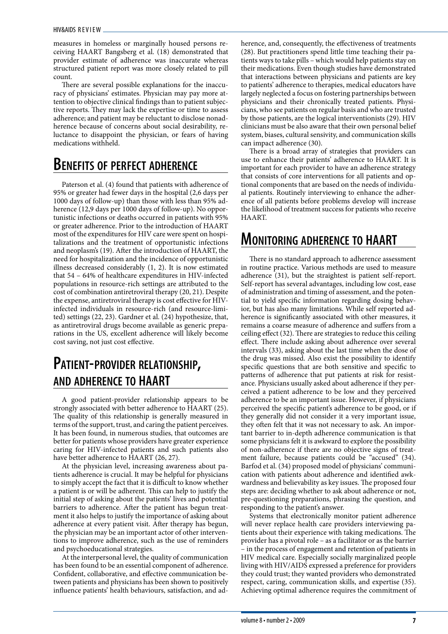measures in homeless or marginally housed persons receiving HAART Bangsberg et al. (18) demonstrated that provider estimate of adherence was inaccurate whereas structured patient report was more closely related to pill count.

There are several possible explanations for the inaccuracy of physicians' estimates. Physician may pay more attention to objective clinical findings than to patient subjective reports. They may lack the expertise or time to assess adherence; and patient may be reluctant to disclose nonadherence because of concerns about social desirability, reluctance to disappoint the physician, or fears of having medications withheld.

# **Benefits of perfect adherence**

Paterson et al. (4) found that patients with adherence of 95% or greater had fewer days in the hospital (2,6 days per 1000 days of follow-up) than those with less than 95% adherence (12,9 days per 1000 days of follow-up). No opportunistic infections or deaths occurred in patients with 95% or greater adherence. Prior to the introduction of HAART most of the expenditures for HIV care were spent on hospitalizations and the treatment of opportunistic infections and neoplasm's (19). After the introduction of HAART, the need for hospitalization and the incidence of opportunistic illness decreased considerably (1, 2). It is now estimated that 54 – 64% of healthcare expenditures in HIV-infected populations in resource-rich settings are attributed to the cost of combination antiretroviral therapy (20, 21). Despite the expense, antiretroviral therapy is cost effective for HIVinfected individuals in resource-rich (and resource-limited) settings (22, 23). Gardner et al. (24) hypothesize, that, as antiretroviral drugs become available as generic preparations in the US, excellent adherence will likely become cost saving, not just cost effective.

# **Patient-provider relationship, and adherence to HAART**

A good patient-provider relationship appears to be strongly associated with better adherence to HAART (25). The quality of this relationship is generally measured in terms of the support, trust, and caring the patient perceives. It has been found, in numerous studies, that outcomes are better for patients whose providers have greater experience caring for HIV-infected patients and such patients also have better adherence to HAART (26, 27).

At the physician level, increasing awareness about patients adherence is crucial. It may be helpful for physicians to simply accept the fact that it is difficult to know whether a patient is or will be adherent. This can help to justify the initial step of asking about the patients' lives and potential barriers to adherence. After the patient has begun treatment it also helps to justify the importance of asking about adherence at every patient visit. After therapy has begun, the physician may be an important actor of other interventions to improve adherence, such as the use of reminders and psychoeducational strategies.

At the interpersonal level, the quality of communication has been found to be an essential component of adherence. Confident, collaborative, and effective communication between patients and physicians has been shown to positively influence patients' health behaviours, satisfaction, and adherence, and, consequently, the effectiveness of treatments (28). But practitioners spend little time teaching their patients ways to take pills – which would help patients stay on their medications. Even though studies have demonstrated that interactions between physicians and patients are key to patients' adherence to therapies, medical educators have largely neglected a focus on fostering partnerships between physicians and their chronically treated patients. Physicians, who see patients on regular basis and who are trusted by those patients, are the logical interventionists (29). HIV clinicians must be also aware that their own personal belief system, biases, cultural sensivity, and communication skills can impact adherence (30).

There is a broad array of strategies that providers can use to enhance their patients' adherence to HAART. It is important for each provider to have an adherence strategy that consists of core interventions for all patients and optional components that are based on the needs of individual patients. Routinely interviewing to enhance the adherence of all patients before problems develop will increase the likelihood of treatment success for patients who receive HAART.

# **Monitoring adherence to HAART**

There is no standard approach to adherence assessment in routine practice. Various methods are used to measure adherence (31), but the straightest is patient self-report. Self-report has several advantages, including low cost, ease of administration and timing of assessment, and the potential to yield specific information regarding dosing behavior, but has also many limitations. While self reported adherence is significantly associated with other measures, it remains a coarse measure of adherence and suffers from a ceiling effect (32). There are strategies to reduce this ceiling effect. There include asking about adherence over several intervals (33), asking about the last time when the dose of the drug was missed. Also exist the possibility to identify specific questions that are both sensitive and specific to patterns of adherence that put patients at risk for resistance. Physicians usually asked about adherence if they perceived a patient adherence to be low and they perceived adherence to be an important issue. However, if physicians perceived the specific patient's adherence to be good, or if they generally did not consider it a very important issue, they often felt that it was not necessary to ask. An important barrier to in-depth adherence communication is that some physicians felt it is awkward to explore the possibility of non-adherence if there are no objective signs of treatment failure, because patients could be "accused" (34). Barfod et al. (34) proposed model of physicians' communication with patients about adherence and identified awkwardness and believability as key issues. The proposed four steps are: deciding whether to ask about adherence or not, pre-questioning preparations, phrasing the question, and responding to the patient's answer.

Systems that electronically monitor patient adherence will never replace health care providers interviewing patients about their experience with taking medications. The provider has a pivotal role – as a facilitator or as the barrier – in the process of engagement and retention of patients in HIV medical care. Especially socially marginalized people living with HIV/AIDS expressed a preference for providers they could trust; they wanted providers who demonstrated respect, caring, communication skills, and expertise (35). Achieving optimal adherence requires the commitment of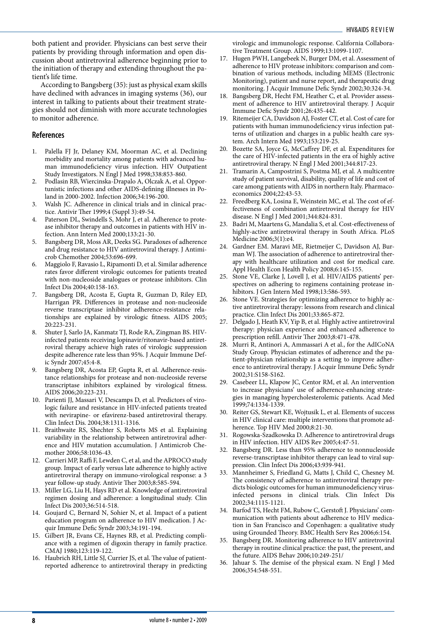both patient and provider. Physicians can best serve their patients by providing through information and open discussion about antiretroviral adherence beginning prior to the initiation of therapy and extending throughout the patient's life time.

According to Bangsberg (35): just as physical exam skills have declined with advances in imaging systems (36), our interest in talking to patients about their treatment strategies should not diminish with more accurate technologies to monitor adherence.

## **References**

- Palella FJ Jr, Delaney KM, Moorman AC, et al. Declining morbidity and mortality among patients with advanced human immunodeficiency virus infection. HIV Outpatient Study Investigators. N Engl J Med 1998;338:853-860.
- 2. Podlasin RB, Wiercinska-Drapalo A, Olczak A, et al. Opportunistic infections and other AIDS-defining illnesses in Poland in 2000-2002. Infection 2006;34:196-200.
- 3. Walsh JC. Adherence in clinical trials and in clinical practice. Antivir Ther 1999;4 (Suppl 3):49-54.
- 4. Paterson DL, Swindells S, Mohr J, et al. Adherence to protease inhibitor therapy and outcomes in patients with HIV infection. Ann Intern Med 2000;133:21-30.
- 5. Bangsberg DR, Moss AR, Deeks SG. Paradoxes of adherence and drug resistance to HIV antiretroviral therapy. J Antimicrob Chemother 2004;53:696-699.
- 6. Maggiolo F, Ravasio L, Ripamonti D, et al. Similar adherence rates favor different virologic outcomes for patients treated with non-nucleoside analogues or protease inhibitors. Clin Infect Dis 2004;40:158-163.
- 7. Bangsberg DR, Acosta E, Gupta R, Guzman D, Riley ED, Harrigan PR. Differences in protease and non-nucleoside reverse transcriptase inhibitor adherence-resistance relationships are explained by virologic fitness. AIDS 2005; 20:223-231.
- 8. Shuter J, Sarlo JA, Kanmatz TJ, Rode RA, Zingman BS. HIVinfected patients receiving lopinavir/ritonavir-based antiretroviral therapy achieve high rates of virologic suppression despite adherence rate less than 95%. J Acquir Immune Defic Syndr 2007;45:4-8.
- 9. Bangsberg DR, Acosta EP, Gupta R, et al. Adherence-resistance relationships for protease and non-nucleoside reverse transcriptase inhibitors explained by virological fitness. AIDS 2006;20:223-231.
- 10. Parienti JJ, Massari V, Descamps D, et al. Predictors of virologic failure and resistance in HIV-infected patients treated with nevirapine- or efavirenz-based antiretroviral therapy. Clin Infect Dis. 2004;38:1311-1316.
- 11. Braithwaite RS, Shechter S, Roberts MS et al. Explaining variability in the relationship between antiretroviral adherence and HIV mutation accumulation. J Antimicrob Chemother 2006;58:1036-43.
- 12. Carrieri MP, Raffi F, Lewden C, et al, and the APROCO study group. Impact of early versus late adherence to highly active antiretroviral therapy on immuno-virological response: a 3 year follow-up study. Antivir Ther 2003;8:585-594.
- 13. Miller LG, Liu H, Hays RD et al. Knowledge of antiretroviral regimen dosing and adherence: a longitudinal study. Clin Infect Dis 2003;36:514-518.
- 14. Goujard C, Bernard N, Sohier N, et al. Impact of a patient education program on adherence to HIV medication. J Acquir Immune Defic Syndr 2003;34:191-194.
- 15. Gilbert JR, Evans CE, Haynes RB, et al. Predicting compliance with a regimen of digoxin therapy in family practice. CMAJ 1980;123:119-122.
- 16. Haubrich RH, Little SJ, Currier JS, et al. The value of patientreported adherence to antiretroviral therapy in predicting

virologic and immunologic response. California Collaborative Treatment Group. AIDS 1999;13:1099-1107.

- 17. Hugen PWH, Langebeek N, Burger DM, et al. Assessment of adherence to HIV protease inhibitors: comparison and combination of various methods, including MEMS (Electronic Monitoring), patient and nurse report, and therapeutic drug monitoring. J Acquir Immune Defic Syndr 2002;30:324-34.
- 18. Bangsberg DR, Hecht FM, Heather C, et al. Provider assessment of adherence to HIV antiretroviral therapy. J Acquir Immune Defic Syndr 2001;26:435-442.
- 19. Ritemeijer CA, Davidson AJ, Foster CT, et al. Cost of care for patients with human immunodeficiency virus infection patterns of utilization and charges in a public health care system. Arch Intern Med 1993;153:219-25.
- 20. Bozette SA, Joyce G, McCaffrey DF, et al. Expenditures for the care of HIV-infected patients in the era of highly active antiretroviral therapy. N Engl J Med 2001;344:817-23.
- 21. Tramarin A, Campostrini S, Postma MJ, et al. A multicentre study of patient survival, disability, quality of life and cost of care among patients with AIDS in northern Italy. Pharmacoeconomics 2004;22:43-53.
- 22. Freedberg KA, Losina E, Weinstein MC, et al. The cost of effectiveness of combination antiretroviral therapy for HIV disease. N Engl J Med 2001;344:824-831.
- 23. Badri M, Maartens G, Mandalia S, et al. Cost-effectiveness of highly-active antiretroviral therapy in South Africa. PLoS Medicine 2006;3(1):e4.
- 24. Gardner EM. Maravi ME, Rietmeijer C, Davidson AJ, Burman WJ. The association of adherence to antiretroviral therapy with healthcare utilization and cost for medical care. Appl Health Econ Health Policy 2008;6:145-155.
- 25. Stone VE, Clarke J, Lovell J, et al. HIV/AIDS patients' perspectives on adhering to regimens containing protease inhibitors. J Gen Intern Med 1998;13:586-593.
- 26. Stone VE. Strategies for optimizing adherence to highly active antiretroviral therapy: lessons from research and clinical practice. Clin Infect Dis 2001;33:865-872.
- 27. Delgado J, Heath KV, Yip B, et al. Highly active antiretroviral therapy: physician experience and enhanced adherence to prescription refill. Antivir Ther 2003;8:471-478.
- 28. Murri R, Antinori A, Ammassari A et al., for the AdICoNA Study Group. Physician estimates of adherence and the patient-physician relationship as a setting to improve adherence to antiretroviral therapy. J Acquir Immune Defic Syndr 2002;31:S158-S162.
- 29. Casebeer LL, Klapow JC, Centor RM, et al. An intervention to increase physicians' use of adherence-enhancing strategies in managing hypercholesterolemic patients. Acad Med 1999;74:1334-1339.
- 30. Reiter GS, Stewart KE, Wojtusik L, et al. Elements of success in HIV clinical care: multiple interventions that promote adherence. Top HIV Med 2000;8:21-30.
- 31. Rogowska-Szadkowska D. Adherence to antiretroviral drugs in HIV infection. HIV AIDS Rev 2005;4:47-51.
- 32. Bangsberg DR. Less than 95% adherence to nonnucleoside reverse-transcriptase inhibitor therapy can lead to viral suppression. Clin Infect Dis 2006;43:939-941.
- 33. Mannheimer S, Friedland G, Matts J, Child C, Chesney M. The consistency of adherence to antiretroviral therapy predicts biologic outcomes for human immunodeficiency virusinfected persons in clinical trials. Clin Infect Dis 2002;34:1115-1121.
- 34. Barfod TS, Hecht FM, Rubow C, Gerstoft J. Physicians' communication with patients about adherence to HIV medication in San Francisco and Copenhagen: a qualitative study using Grounded Theory. BMC Health Serv Res 2006;6:154.
- 35. Bangsberg DR. Monitoring adherence to HIV antiretroviral therapy in routine clinical practice: the past, the present, and the future. AIDS Behav 2006;10:249-251/
- 36. Jahuar S. The demise of the physical exam. N Engl J Med 2006;354:548-551.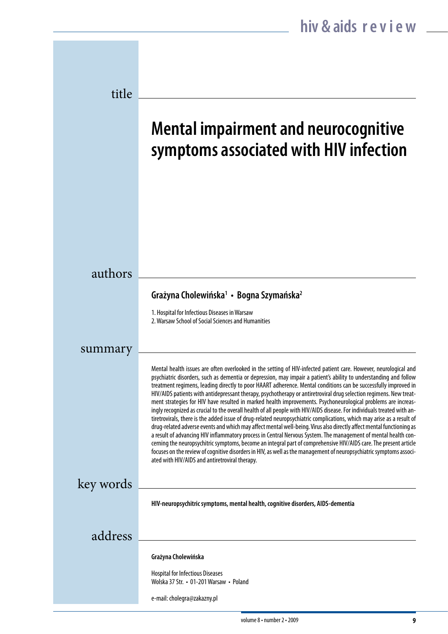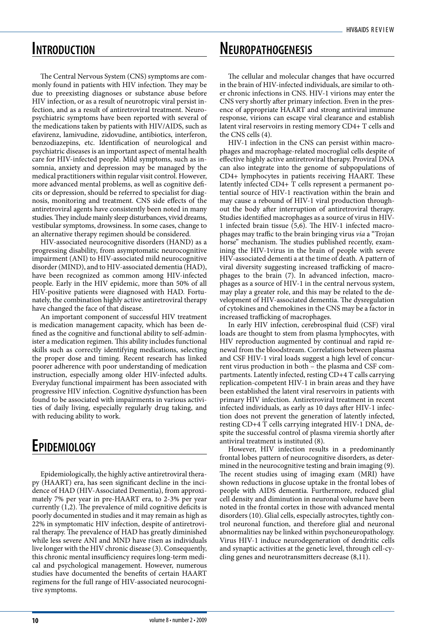## **Introduction**

The Central Nervous System (CNS) symptoms are commonly found in patients with HIV infection. They may be due to preexisting diagnoses or substance abuse before HIV infection, or as a result of neurotropic viral persist infection, and as a result of antiretroviral treatment. Neuropsychiatric symptoms have been reported with several of the medications taken by patients with HIV/AIDS, such as efavirenz, lamivudine, zidovudine, antibiotics, interferon, benzodiazepins, etc. Identification of neurological and psychiatric diseases is an important aspect of mental health care for HIV-infected people. Mild symptoms, such as insomnia, anxiety and depression may be managed by the medical practitioners within regular visit control. However, more advanced mental problems, as well as cognitive deficits or depression, should be referred to specialist for diagnosis, monitoring and treatment. CNS side effects of the antiretroviral agents have consistently been noted in many studies. They include mainly sleep disturbances, vivid dreams, vestibular symptoms, drowsiness. In some cases, change to an alternative therapy regimen should be considered.

HIV-associated neurocognitive disorders (HAND) as a progressing disability, from asymptomatic neurocognitive impairment (ANI) to HIV-associated mild neurocognitive disorder (MIND), and to HIV-associated dementia (HAD), have been recognized as common among HIV-infected people. Early in the HIV epidemic, more than 50% of all HIV-positive patients were diagnosed with HAD. Fortunately, the combination highly active antiretroviral therapy have changed the face of that disease.

An important component of successful HIV treatment is medication management capacity, which has been defined as the cognitive and functional ability to self-administer a medication regimen. This ability includes functional skills such as correctly identifying medications, selecting the proper dose and timing. Recent research has linked poorer adherence with poor understanding of medication instruction, especially among older HIV-infected adults. Everyday functional impairment has been associated with progressive HIV infection. Cognitive dysfunction has been found to be associated with impairments in various activities of daily living, especially regularly drug taking, and with reducing ability to work.

# **Epidemiology**

Epidemiologically, the highly active antiretroviral therapy (HAART) era, has seen significant decline in the incidence of HAD (HIV-Associated Dementia), from approximately 7% per year in pre-HAART era, to 2-3% per year currently (1,2). The prevalence of mild cognitive deficits is poorly documented in studies and it may remain as high as 22% in symptomatic HIV infection, despite of antiretroviral therapy. The prevalence of HAD has greatly diminished while less severe ANI and MND have risen as individuals live longer with the HIV chronic disease (3). Consequently, this chronic mental insufficiency requires long-term medical and psychological management. However, numerous studies have documented the benefits of certain HAART regimens for the full range of HIV-associated neurocognitive symptoms.

**Neuropathogenesis**

The cellular and molecular changes that have occurred in the brain of HIV-infected individuals, are similar to other chronic infections in CNS. HIV-1 virions may enter the CNS very shortly after primary infection. Even in the presence of appropriate HAART and strong antiviral immune response, virions can escape viral clearance and establish latent viral reservoirs in resting memory CD4+ T cells and the CNS cells (4).

HIV-1 infection in the CNS can persist within macrophages and macrophage-related mocroglial cells despite of effective highly active antiretroviral therapy. Proviral DNA can also integrate into the genome of subpopulations of CD4+ lymphocytes in patients receiving HAART. These latently infected CD4+ T cells represent a permanent potential source of HIV-1 reactivation within the brain and may cause a rebound of HIV-1 viral production throughout the body after interruption of antiretroviral therapy. Studies identified macrophages as a source of virus in HIV-1 infected brain tissue  $(5,6)$ . The HIV-1 infected macrophages may traffic to the brain bringing virus *via* a "Trojan horse" mechanism. The studies published recently, examining the HIV-1virus in the brain of people with severe HIV-associated dementi a at the time of death. A pattern of viral diversity suggesting increased trafficking of macrophages to the brain (7). In advanced infection, macrophages as a source of HIV-1 in the central nervous system, may play a greater role, and this may be related to the development of HIV-associated dementia. The dysregulation of cytokines and chemokines in the CNS may be a factor in increased trafficking of macrophages.

In early HIV infection, cerebrospinal fluid (CSF) viral loads are thought to stem from plasma lymphocytes, with HIV reproduction augmented by continual and rapid renewal from the bloodstream. Correlations between plasma and CSF HIV-1 viral loads suggest a high level of concurrent virus production in both – the plasma and CSF compartments. Latently infected, resting CD+4 T calls carrying replication-competent HIV-1 in brain areas and they have been established the latent viral reservoirs in patients with primary HIV infection. Antiretroviral treatment in recent infected individuals, as early as 10 days after HIV-1 infection does not prevent the generation of latently infected, resting CD+4 T cells carrying integrated HIV-1 DNA, despite the successful control of plasma viremia shortly after antiviral treatment is instituted (8).

However, HIV infection results in a predominantly frontal lobes pattern of neurocognitive disorders, as determined in the neurocognitive testing and brain imaging (9). The recent studies using of imaging exam (MRI) have shown reductions in glucose uptake in the frontal lobes of people with AIDS dementia. Furthermore, reduced glial cell density and diminution in neuronal volume have been noted in the frontal cortex in those with advanced mental disorders (10). Glial cells, especially astrocytes, tightly control neuronal function, and therefore glial and neuronal abnormalities nay be linked within psychoneuropathology. Virus HIV-1 induce neurodegeneration of dendritic cells and synaptic activities at the genetic level, through cell-cycling genes and neurotransmitters decrease (8,11).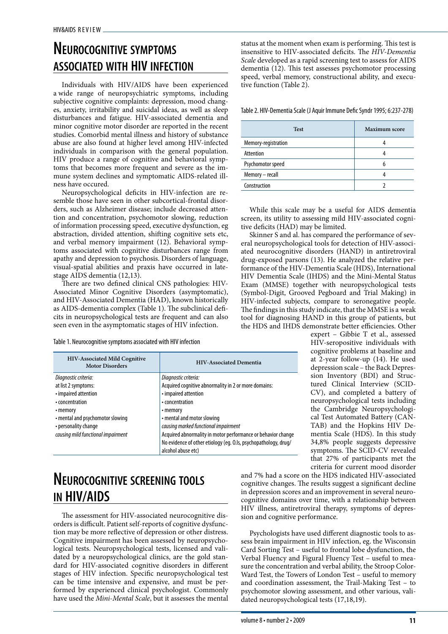# **Neurocognitive symptoms associated with HIV infection**

Individuals with HIV/AIDS have been experienced a wide range of neuropsychiatric symptoms, including subjective cognitive complaints: depression, mood changes, anxiety, irritability and suicidal ideas, as well as sleep disturbances and fatigue. HIV-associated dementia and minor cognitive motor disorder are reported in the recent studies. Comorbid mental illness and history of substance abuse are also found at higher level among HIV-infected individuals in comparison with the general population. HIV produce a range of cognitive and behavioral symptoms that becomes more frequent and severe as the immune system declines and symptomatic AIDS-related illness have occured.

Neuropsychological deficits in HIV-infection are resemble those have seen in other subcortical-frontal disorders, such as Alzheimer disease; include decreased attention and concentration, psychomotor slowing, reduction of information processing speed, executive dysfunction, eg abstraction, divided attention, shifting cognitive sets etc, and verbal memory impairment (12). Behavioral symptoms associated with cognitive disturbances range from apathy and depression to psychosis. Disorders of language, visual-spatial abilities and praxis have occurred in latestage AIDS dementia (12,13).

There are two defined clinical CNS pathologies: HIV-Associated Minor Cognitive Disorders (asymptomatic), and HIV-Associated Dementia (HAD), known historically as AIDS-dementia complex (Table 1). The subclinical deficits in neuropsychological tests are frequent and can also seen even in the asymptomatic stages of HIV infection.

Table 1. Neurocognitive symptoms associated with HIV infection

| <b>HIV-Associated Mild Cognitive</b><br><b>Motor Disorders</b> | <b>HIV-Associated Dementia</b>                                  |
|----------------------------------------------------------------|-----------------------------------------------------------------|
| Diagnostic criteria:                                           | Diagnostic criteria:                                            |
| at list 2 symptoms:                                            | Acquired cognitive abnormality in 2 or more domains:            |
| • impaired attention                                           | • impaired attention                                            |
| • concentration                                                | • concentration                                                 |
| • memory                                                       | • memory                                                        |
| • mental and psychomotor slowing                               | • mental and motor slowing                                      |
| • personality change                                           | causing marked functional impairment                            |
| causing mild functional impairment                             | Acquired abnormality in motor performance or behavior change    |
|                                                                | No evidence of other etiology (eq. 0.ls, psychopathology, drug/ |
|                                                                | alcohol abuse etc)                                              |

# **Neurocognitive screening tools in HIV/AIDS**

The assessment for HIV-associated neurocognitive disorders is difficult. Patient self-reports of cognitive dysfunction may be more reflective of depression or other distress. Cognitive impairment has been assessed by neuropsychological tests. Neuropsychological tests, licensed and validated by a neuropsychological clinics, are the gold standard for HIV-associated cognitive disorders in different stages of HIV infection. Specific neuropsychological test can be time intensive and expensive, and must be performed by experienced clinical psychologist. Commonly have used the *Mini-Mental Scale*, but it assesses the mental status at the moment when exam is performing. This test is insensitive to HIV-associated deficits. The *HIV-Dementia Scale* developed as a rapid screening test to assess for AIDS dementia (12). This test assesses psychomotor processing speed, verbal memory, constructional ability, and executive function (Table 2).

Table 2. HIV-Dementia Scale (J Aquir Immune Defic Syndr 1995; 6:237-278)

| <b>Test</b>         | <b>Maximum</b> score |
|---------------------|----------------------|
| Memory-registration |                      |
| Attention           |                      |
| Psychomotor speed   |                      |
| Memory - recall     |                      |
| Construction        |                      |

While this scale may be a useful for AIDS dementia screen, its utility to assessing mild HIV-associated cognitive deficits (HAD) may be limited.

Skinner S and al. has compared the performance of several neuropsychological tools for detection of HIV-associated neurocognitive disorders (HAND) in antiretroviral drug-exposed parsons (13). He analyzed the relative performance of the HIV-Dementia Scale (HDS), International HIV Dementia Scale (IHDS) and the Mini-Mental Status Exam (MMSE) together with neuropsychological tests (Symbol-Digit, Grooved Pegboard and Trial Making) in HIV-infected subjects, compare to seronegative people. The findings in this study indicate, that the MMSE is a weak tool for diagnosing HAND in this group of patients, but the HDS and IHDS demonstrate better efficiencies. Other

> expert – Gibbie T et al., assessed HIV-seropositive individuals with cognitive problems at baseline and at 2-year follow-up (14). He used depression scale – the Back Depression Inventory (BDI) and Structured Clinical Interview (SCID-CV), and completed a battery of neuropsychological tests including the Cambridge Neuropsychological Test Automated Battery (CAN-TAB) and the Hopkins HIV Dementia Scale (HDS). In this study 34,8% people suggests depressive symptoms. The SCID-CV revealed that 27% of participants met the criteria for current mood disorder

and 7% had a score on the HDS indicated HIV-associated cognitive changes. The results suggest a significant decline in depression scores and an improvement in several neurocognitive domains over time, with a relationship between HIV illness, antiretroviral therapy, symptoms of depression and cognitive performance.

Psychologists have used different diagnostic tools to assess brain impairment in HIV infection, eg. the Wisconsin Card Sorting Test – useful to frontal lobe dysfunction, the Verbal Fluency and Figural Fluency Test – useful to measure the concentration and verbal ability, the Stroop Color-Ward Test, the Towers of London Test – useful to memory and coordination assessment, the Trail-Making Test – to psychomotor slowing assessment, and other various, validated neuropsychological tests (17,18,19).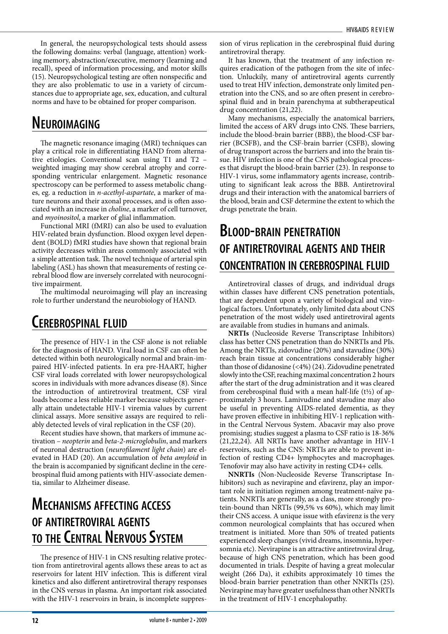In general, the neuropsychological tests should assess the following domains: verbal (language, attention) working memory, abstraction/executive, memory (learning and recall), speed of information processing, and motor skills (15). Neuropsychological testing are often nonspecific and they are also problematic to use in a variety of circumstances due to appropriate age, sex, education, and cultural norms and have to be obtained for proper comparison.

# **Neuroimaging**

The magnetic resonance imaging (MRI) techniques can play a critical role in differentiating HAND from alternative etiologies. Conventional scan using T1 and T2 – weighted imaging may show cerebral atrophy and corresponding ventricular enlargement. Magnetic resonance spectroscopy can be performed to assess metabolic changes, eg. a reduction in *n-acethyl-aspartate*, a marker of mature neurons and their axonal processes, and is often associated with an increase in *choline*, a marker of cell turnover, and *myoinositol*, a marker of glial inflammation.

Functional MRI (fMRI) can also be used to evaluation HIV-related brain dysfunction. Blood oxygen level dependent (BOLD) fMRI studies have shown that regional brain activity decreases within areas commonly associated with a simple attention task. The novel technique of arterial spin labeling (ASL) has shown that measurements of resting cerebral blood flow are inversely correlated with neurocognitive impairment.

The multimodal neuroimaging will play an increasing role to further understand the neurobiology of HAND.

# **Cerebrospinal fluid**

The presence of HIV-1 in the CSF alone is not reliable for the diagnosis of HAND. Viral load in CSF can often be detected within both neurologically normal and brain-impaired HIV-infected patients. In era pre-HAART, higher CSF viral loads correlated with lower neuropsychological scores in individuals with more advances disease (8). Since the introduction of antiretroviral treatment, CSF viral loads become a less reliable marker because subjects generally attain undetectable HIV-1 viremia values by current clinical assays. More sensitive assays are required to reliably detected levels of viral replication in the CSF (20).

Recent studies have shown, that markers of immune activation – *neopterin* and *beta-2-microglobulin*, and markers of neuronal destruction (*neurofilament light chain*) are elevated in HAD (20). An accumulation of *beta amyloid* in the brain is accompanied by significant decline in the cerebrospinal fluid among patients with HIV-associate dementia, similar to Alzheimer disease.

# **Mechanisms affecting access of antiretroviral agents to theCentral Nervous System**

The presence of HIV-1 in CNS resulting relative protection from antiretroviral agents allows these areas to act as reservoirs for latent HIV infection. This is different viral kinetics and also different antiretroviral therapy responses in the CNS versus in plasma. An important risk associated with the HIV-1 reservoirs in brain, is incomplete suppression of virus replication in the cerebrospinal fluid during antiretroviral therapy.

It has known, that the treatment of any infection requires eradication of the pathogen from the site of infection. Unluckily, many of antiretroviral agents currently used to treat HIV infection, demonstrate only limited penetration into the CNS, and so are often present in cerebrospinal fluid and in brain parenchyma at subtherapeutical drug concentration (21,22).

Many mechanisms, especially the anatomical barriers, limited the access of ARV drugs into CNS. These barriers, include the blood-brain barrier (BBB), the blood-CSF barrier (BCSFB), and the CSF-brain barrier (CSFB), slowing of drug transport across the barriers and into the brain tissue. HIV infection is one of the CNS pathological processes that disrupt the blood-brain barrier (23). In response to HIV-1 virus, some inflammatory agents increase, contributing to significant leak across the BBB. Antiretroviral drugs and their interaction with the anatomical barriers of the blood, brain and CSF determine the extent to which the drugs penetrate the brain.

# **Blood-brain penetration of antiretroviral agents and their concentration in cerebrospinal fluid**

Antiretroviral classes of drugs, and individual drugs within classes have different CNS penetration potentials, that are dependent upon a variety of biological and virological factors. Unfortunately, only limited data about CNS penetration of the most widely used antiretroviral agents are available from studies in humans and animals.

**NRTIs** (Nucleoside Reverse Transcriptase Inhibitors) class has better CNS penetration than do NNRTIs and PIs. Among the NRTIs, zidovudine (20%) and stavudine (30%) reach brain tissue at concentrations considerably higher than those of didanosine (<4%) (24). Zidovudine penetrated slowly into the CSF, reaching maximal concentration 2 hours after the start of the drug administration and it was cleared from cerebrospinal fluid with a mean half-life  $(t\frac{1}{2})$  of approximately 3 hours. Lamivudine and stavudine may also be useful in preventing AIDS-related dementia, as they have proven effective in inhibiting HIV-1 replication within the Central Nervous System. Abacavir may also prove promising; studies suggest a plasma to CSF ratio is 18-36% (21,22,24). All NRTIs have another advantage in HIV-1 reservoirs, such as the CNS: NRTIs are able to prevent infection of resting CD4+ lymphocytes and macrophages. Tenofovir may also have activity in resting CD4+ cells.

**NNRTIs** (Non-Nucleoside Reverse Transcriptase Inhibitors) such as nevirapine and efavirenz, play an important role in initiation regimen among treatment-naïve patients. NNRTIs are generally, as a class, more strongly protein-bound than NRTIs (99,5% vs 60%), which may limit their CNS access. A unique issue with efavirenz is the very common neurological complaints that has occured when treatment is initiated. More than 50% of treated patients experienced sleep changes (vivid dreams, insomnia, hypersomnia etc). Nevirapine is an attractive antiretroviral drug, because of high CNS penetration, which has been good documented in trials. Despite of having a great molecular weight (266 Da), it exhibits approximately 10 times the blood-brain barrier penetration than other NNRTIs (25). Nevirapine may have greater usefulness than other NNRTIs in the treatment of HIV-1 encephalopathy.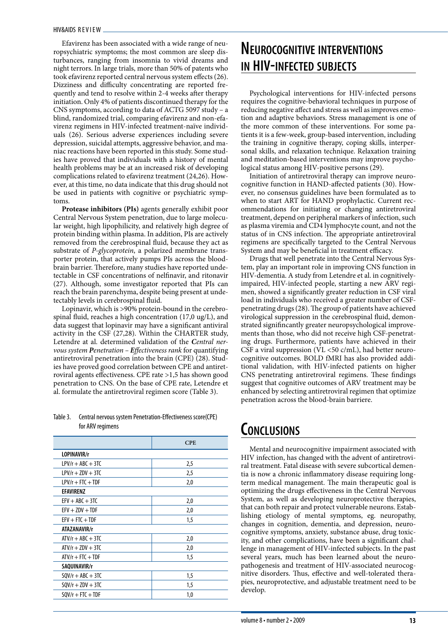Efavirenz has been associated with a wide range of neuropsychiatric symptoms; the most common are sleep disturbances, ranging from insomnia to vivid dreams and night terrors. In large trials, more than 50% of patents who took efavirenz reported central nervous system effects (26). Dizziness and difficulty concentrating are reported frequently and tend to resolve within 2-4 weeks after therapy initiation. Only 4% of patients discontinued therapy for the CNS symptoms, according to data of ACTG 5097 study – a blind, randomized trial, comparing efavirenz and non-efavirenz regimens in HIV-infected treatment-naïve individuals (26). Serious adverse experiences including severe depression, suicidal attempts, aggressive behavior, and maniac reactions have been reported in this study. Some studies have proved that individuals with a history of mental health problems may be at an increased risk of developing complications related to efavirenz treatment (24,26). However, at this time, no data indicate that this drug should not be used in patients with cognitive or psychiatric symptoms.

**Protease inhibitors (PIs)** agents generally exhibit poor Central Nervous System penetration, due to large molecular weight, high lipophilicity, and relatively high degree of protein binding within plasma. In addition, PIs are actively removed from the cerebrospinal fluid, because they act as substrate of *P-glycoprotein*, a polarized membrane transporter protein, that actively pumps PIs across the bloodbrain barrier. Therefore, many studies have reported undetectable in CSF concentrations of nelfinavir, and ritonavir (27). Although, some investigator reported that PIs can reach the brain parenchyma, despite being present at undetectably levels in cerebrospinal fluid.

Lopinavir, which is >90% protein-bound in the cerebrospinal fluid, reaches a high concentration (17,0 ug/L), and data suggest that lopinavir may have a significant antiviral activity in the CSF (27,28). Within the CHARTER study, Letendre at al. determined validation of the *Central nervous system Penetration – Effectiveness rank* for quantifying antiretroviral penetration into the brain (CPE) (28). Studies have proved good correlation between CPE and antiretroviral agents effectiveness. CPE rate >1,5 has shown good penetration to CNS. On the base of CPE rate, Letendre et al. formulate the antiretroviral regimen score (Table 3).

#### Table 3. Central nervous system Penetration-Effectiveness score(CPE) for ARV regimens

|                     | <b>CPE</b> |
|---------------------|------------|
| LOPINAVIR/r         |            |
| $LPV/r + ABC + 3TC$ | 2,5        |
| $LPV/r + ZDV + 3TC$ | 2,5        |
| $LPV/r + FTC + TDF$ | 2,0        |
| EFAVIRENZ           |            |
| $EFV + ABC + 3TC$   | 2,0        |
| $EFV + ZDV + TDF$   | 2,0        |
| $EFV + FTC + TDF$   | 1,5        |
| ATAZANAVIR/r        |            |
| $AY/r + ABC + 3TC$  | 2,0        |
| $AY/r + ZDV + 3TC$  | 2,0        |
| $AY/r + FTC + TDF$  | 1,5        |
| SAQUINAVIR/r        |            |
| $SOV/r + ABC + 3TC$ | 1,5        |
| $SQV/r + ZDV + 3TC$ | 1,5        |
| $SQV/r + FTC + TDF$ | 1,0        |
|                     |            |

# **Neurocognitive interventions in HIV-infected subjects**

Psychological interventions for HIV-infected persons requires the cognitive-behavioral techniques in purpose of reducing negative affect and stress as well as improves emotion and adaptive behaviors. Stress management is one of the more common of these interventions. For some patients it is a few-week, group-based intervention, including the training in cognitive therapy, coping skills, interpersonal skills, and relaxation technique. Relaxation training and meditation-based interventions may improve psychological status among HIV-positive persons (29).

Initiation of antiretroviral therapy can improve neurocognitive function in HAND-affected patients (30). However, no consensus guidelines have been formulated as to when to start ART for HAND prophylactic. Current recommendations for initiating or changing antiretroviral treatment, depend on peripheral markers of infection, such as plasma viremia and CD4 lymphocyte count, and not the status of in CNS infection. The appropriate antiretroviral regimens are specifically targeted to the Central Nervous System and may be beneficial in treatment efficacy.

Drugs that well penetrate into the Central Nervous System, play an important role in improving CNS function in HIV-dementia. A study from Letendre et al. in cognitivelyimpaired, HIV-infected people, starting a new ARV regimen, showed a significantly greater reduction in CSF viral load in individuals who received a greater number of CSFpenetrating drugs (28). The group of patients have achieved virological suppression in the cerebrospinal fluid, demonstrated signifincantly greater neuropsychological improvements than those, who did not receive high CSF-penetrating drugs. Furthermore, patients have achieved in their CSF a viral suppression ( $\rm{VL}$  <50 c/mL), had better neurocognitive outcomes. BOLD fMRI has also provided additional validation, with HIV-infected patients on higher CNS penetrating antiretroviral regimens. These findings suggest that cognitive outcomes of ARV treatment may be enhanced by selecting antiretroviral regimen that optimize penetration across the blood-brain barriere.

# **Conclusions**

Mental and neurocognitive impairment associated with HIV infection, has changed with the advent of antiretroviral treatment. Fatal disease with severe subcortical dementia is now a chronic inflammatory disease requiring longterm medical management. The main therapeutic goal is optimizing the drugs effectiveness in the Central Nervous System, as well as developing neuroprotective therapies, that can both repair and protect vulnerable neurons. Establishing etiology of mental symptoms, eg. neuropathy, changes in cognition, dementia, and depression, neurocognitive symptoms, anxiety, substance abuse, drug toxicity, and other complications, have been a significant challenge in management of HIV-infected subjects. In the past several years, much has been learned about the neuropathogenesis and treatment of HIV-associated neurocognitive disorders. Thus, effective and well-tolerated therapies, neuroprotective, and adjustable treatment need to be develop.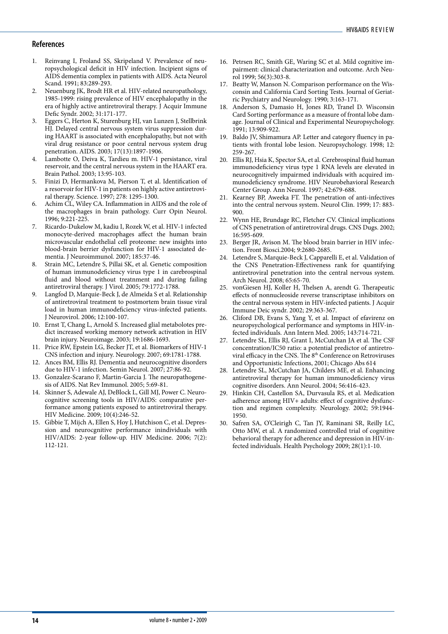## **References**

- 1. Reinvang I, Froland SS, Skripeland V. Prevalence of neuropsychological deficit in HIV infection. Incipient signs of AIDS dementia complex in patients with AIDS. Acta Neurol Scand. 1991; 83:289-293.
- 2. Neuenburg JK, Brodt HR et al. HIV-related neuropathology, 1985-1999: rising prevalence of HIV encephalopathy in the era of highly active antiretroviral therapy. J Acquir Immune Defic Syndr. 2002; 31:171-177.
- Eggers C, Herton K, Sturenburg HJ, van Lunzen J, Stellbrink HJ. Delayed central nervous system virus suppression during HAART is associated with encephalopathy, but not with viral drug resistance or poor central nervous system drug penetration. AIDS. 2003; 17(13):1897-1906.
- 4. Lambotte O, Deiva K, Tardieu m. HIV-1 persistance, viral reservoir, and the central nervous system in the HAART era. Brain Pathol. 2003; 13:95-103.
- 5. Finizi D, Hermankova M, Pierson T, et al. Identification of a resorvoir for HIV-1 in patients on highly active antiretroviral therapy. Science. 1997; 278: 1295-1300.
- 6. Achim CL, Wiley CA. Inflammation in AIDS and the role of the macrophages in brain pathology. Curr Opin Neurol. 1996; 9:221-225.
- 7. Ricardo-Dukelow M, kadiu I, Rozek W, et al. HIV-1 infected monocyte-derived macrophages affect the human brain microvascular endothelial cell proteome: new insights into blood-brain berrier dysfunction for HIV-1 associated dementia. J Neuroimmunol. 2007; 185:37-46.
- 8. Strain MC, Letendre S, Pillai SK, et al. Genetic composition of human immunodeficiency virus type 1 in carebrospinal fluid and blood without treatnment and during failing antiretroviral therapy. J Virol. 2005; 79:1772-1788.
- 9. Langfod D, Marquie-Beck J, de Almeida S et al. Relationship of antiretroviral treatment to postmortem brain tissue viral load in human immunodeficiency virus-infected patients. J Neurovirol. 2006; 12:100-107.
- 10. Ernst T, Chang L, Arnold S. Increased glial metabolotes predict increased working memory network activation in HIV brain injury. Neuroimage. 2003; 19:1686-1693.
- 11. Price RW, Epstein LG, Becker JT, et al. Biomarkers of HIV-1 CNS infection and injury. Neurology. 2007; 69:1781-1788.
- 12. Ances BM, Ellis RJ. Dementia and neurocognitive disorders due to HIV-1 infection. Semin Neurol. 2007; 27:86-92.
- 13. Gonzalez-Scarano F, Martin-Garcia J. The neuropathogenesis of AIDS. Nat Rev Immunol. 2005; 5:69-81.
- 14. Skinner S, Adewale AJ, DeBlock L, Gill MJ, Power C. Neurocognitive screening tools in HIV/AIDS: comparative performance among patients exposed to antiretroviral therapy. HIV Medicine. 2009; 10(4):246-52.
- 15. Gibbie T, Mijch A, Ellen S, Hoy J, Hutchison C, et al. Depression and neurocgnitive performance inindividuals with HIV/AIDS: 2-year follow-up. HIV Medicine. 2006; 7(2): 112-121.
- 16. Petrsen RC, Smith GE, Waring SC et al. Mild cognitive impairment: clinical characterization and outcome. Arch Neurol 1999; 56(3):303-8.
- 17. Beatty W, Manson N. Comparison performance on the Wisconsin and California Card Sorting Tests. Journal of Geriatric Psychiatry and Neurology. 1990; 3:163-171.
- 18. Anderson S, Damasio H, Jones RD, Tranel D. Wisconsin Card Sorting performance as a measure of frontal lobe damage. Journal of Clinical and Experimental Neuropsychology. 1991; 13:909-922.
- 19. Baldo JV, Shimamura AP. Letter and category fluency in patients with frontal lobe lesion. Neuropsychology. 1998; 12: 259-267.
- 20. Ellis RJ, Hsia K, Spector SA, et al. Cerebrospinal fluid human immunodeficiency virus type 1 RNA levels are elevated in neurocognitively impairmed individuals with acquired immunodeficiency syndrome. HIV Neurobehavioral Research Center Group. Ann Neurol. 1997; 42:679-688.
- 21. Kearney BP, Aweeka FT. The penetration of anti-infectives into the central nervous system. Neurol Clin. 1999; 17: 883- 900.
- 22. Wynn HE, Brundage RC, Fletcher CV. Clinical implications of CNS penetration of antiretroviral drugs. CNS Dugs. 2002; 16:595-609.
- 23. Berger JR, Avison M. The blood brain barrier in HIV infection. Front Biosci.2004; 9:2680-2685.
- Letendre S, Marquie-Beck J, Capparelli E, et al. Validation of the CNS Penetration-Effectiveness rank for quantifying antiretroviral penetration into the central nervous system. Arch Neurol. 2008; 65:65-70.
- 25. vonGiesen HJ, Koller H, Thelsen A, arendt G. Therapeutic effects of nonnucleoside reverse transcriptase inhibitors on the central nervous system in HIV-infected patients. J Acquir Immune Deic syndr. 2002; 29:363-367.
- 26. Cliford DB, Evans S, Yang Y, et al. Impact of efavirenz on neuropsychological performance and symptoms in HIV-infected individuals. Ann Intern Med. 2005; 143:714-721.
- 27. Letendre SL, Ellis RJ, Grant I, McCutchan JA et al. The CSF concentration/IC50 ratio: a potential predictor of antiretroviral efficacy in the CNS. The 8<sup>th</sup> Conference on Retroviruses and Opportunistic Infections, 2001; Chicago Abs 614
- 28. Letendre SL, McCutchan JA, Childers ME, et al. Enhancing antiretroviral therapy for human immunodeficiency virus cognitive disorders. Ann Neurol. 2004; 56:416-423.
- 29. Hinkin CH, Castellon SA, Durvasula RS, et al. Medication adherence among HIV+ adults: effect of cognitive dysfunction and regimen complexity. Neurology. 2002; 59:1944- 1950.
- 30. Safren SA, O'Cleirigh C, Tan JY, Raminani SR, Reilly LC, Otto MW, et al. A randomized controlled trial of cognitive behavioral therapy for adherence and depression in HIV-infected individuals. Health Psychology 2009; 28(1):1-10.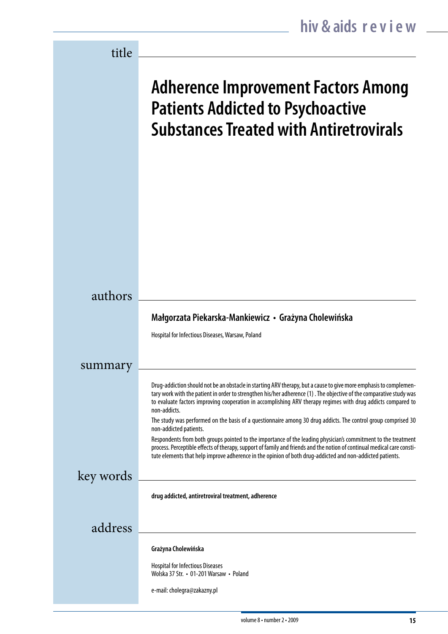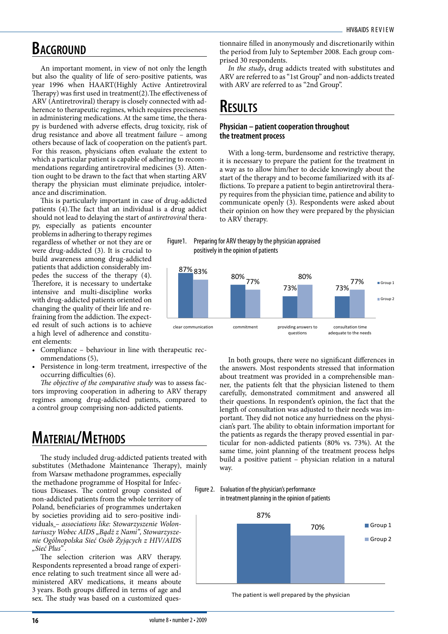## **BACGROUND**

An important moment, in view of not only the length but also the quality of life of sero-positive patients, was year 1996 when HAART(Highly Active Antiretroviral Therapy) was first used in treatment(2).The effectiveness of ARV (Antiretroviral) therapy is closely connected with adherence to therapeutic regimes, which requires preciseness in administering medications. At the same time, the therapy is burdened with adverse effects, drug toxicity, risk of drug resistance and above all treatment failure – among others because of lack of cooperation on the patient's part. For this reason, physicians often evaluate the extent to which a particular patient is capable of adhering to recommendations regarding antiretroviral medicines (3). Attention ought to be drawn to the fact that when starting ARV therapy the physician must eliminate prejudice, intolerance and discrimination.

This is particularly important in case of drug-addicted patients (4).The fact that an individual is a drug addict should not lead to delaying the start of *antiretroviral* thera-

py, especially as patients encounter problems in adhering to therapy regimes regardless of whether or not they are or were drug-addicted (3). It is crucial to build awareness among drug-addicted patients that addiction considerably impedes the success of the therapy (4). Therefore, it is necessary to undertake intensive and multi-discipline works with drug-addicted patients oriented on changing the quality of their life and refraining from the addiction. The expected result of such actions is to achieve a high level of adherence and constituent elements:

- Compliance behaviour in line with therapeutic recommendations (5),
- Persistence in long-term treatment, irrespective of the occurring difficulties (6).

*The objective of the comparative study* was to assess factors improving cooperation in adhering to ARV therapy regimes among drug-addicted patients, compared to a control group comprising non-addicted patients.

# **Material/Methods**

The study included drug-addicted patients treated with substitutes (Methadone Maintenance Therapy), mainly from Warsaw methadone programmes, especially the methadone programme of Hospital for Infectious Diseases. The control group consisted of non-addicted patients from the whole territory of Poland, beneficiaries of programmes undertaken by societies providing aid to sero-positive individuals *– associations like: Stowarzyszenie Wolontariuszy Wobec AIDS "Bądż z Nami", Stowarzyszenie Ogólnopolska Sieć Osób Żyjących z HIV/AIDS "Sieć Plus" .*

The selection criterion was ARV therapy. Respondents represented a broad range of experience relating to such treatment since all were administered ARV medications, it means aboute 3 years. Both groups differed in terms of age and sex. The study was based on a customized questionnaire filled in anonymously and discretionarily within the period from July to September 2008. Each group comprised 30 respondents.

*In the study***,** drug addicts treated with substitutes and ARV are referred to as "1st Group" and non-addicts treated with ARV are referred to as "2nd Group".

# **Results**

## **Physician – patient cooperation throughout the treatment process**

With a long-term, burdensome and restrictive therapy, it is necessary to prepare the patient for the treatment in a way as to allow him/her to decide knowingly about the start of the therapy and to become familiarized with its afflictions. To prepare a patient to begin antiretroviral therapy requires from the physician time, patience and ability to communicate openly (3). Respondents were asked about their opinion on how they were prepared by the physician to ARV therapy.





In both groups, there were no significant differences in the answers. Most respondents stressed that information about treatment was provided in a comprehensible manner, the patients felt that the physician listened to them carefully, demonstrated commitment and answered all their questions. In respondent's opinion, the fact that the length of consultation was adjusted to their needs was important. They did not notice any hurriedness on the physician's part. The ability to obtain information important for the patients as regards the therapy proved essential in particular for non-addicted patients (80% vs. 73%). At the same time, joint planning of the treatment process helps build a positive patient – physician relation in a natural way.





The patient is well prepared by the physician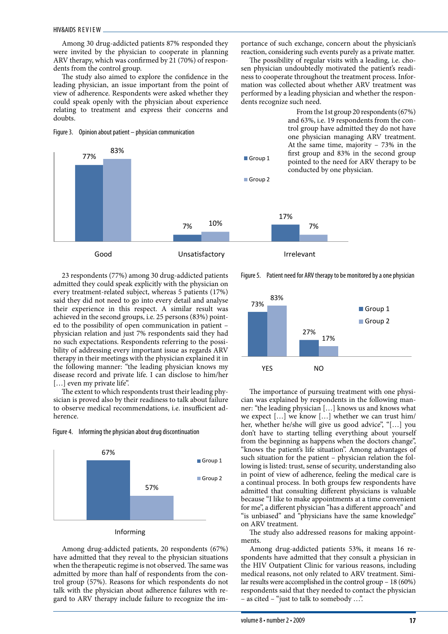77%

Among 30 drug-addicted patients 87% responded they were invited by the physician to cooperate in planning ARV therapy, which was confirmed by 21 (70%) of respondents from the control group.

The study also aimed to explore the confidence in the leading physician, an issue important from the point of view of adherence. Respondents were asked whether they could speak openly with the physician about experience relating to treatment and express their concerns and doubts.

Figure 3. Opinion about patient – physician communication

83%

portance of such exchange, concern about the physician's reaction, considering such events purely as a private matter.

The possibility of regular visits with a leading, i.e. chosen physician undoubtedly motivated the patient's readiness to cooperate throughout the treatment process. Information was collected about whether ARV treatment was performed by a leading physician and whether the respondents recognize such need.

> From the 1st group 20 respondents (67%) and 63%, i.e. 19 respondents from the control group have admitted they do not have one physician managing ARV treatment. At the same time, majority – 73% in the first group and 83% in the second group pointed to the need for ARV therapy to be conducted by one physician.

23 respondents (77%) among 30 drug-addicted patients admitted they could speak explicitly with the physician on every treatment-related subject, whereas 5 patients (17%) said they did not need to go into every detail and analyse their experience in this respect. A similar result was achieved in the second groups, i.e. 25 persons (83%) pointed to the possibility of open communication in patient – physician relation and just 7% respondents said they had no such expectations. Respondents referring to the possibility of addressing every important issue as regards ARV therapy in their meetings with the physician explained it in the following manner: "the leading physician knows my disease record and private life. I can disclose to him/her [...] even my private life".

7%

Good Unsatisfactory Irrelevant

The extent to which respondents trust their leading physician is proved also by their readiness to talk about failure to observe medical recommendations, i.e. insufficient adherence.

Figure 4. Informing the physician about drug discontinuation



## Informing

Among drug-addicted patients, 20 respondents (67%) have admitted that they reveal to the physician situations when the therapeutic regime is not observed. The same was admitted by more than half of respondents from the control group (57%). Reasons for which respondents do not talk with the physician about adherence failures with regard to ARV therapy include failure to recognize the im-

Figure 5. Patient need for ARV therapy to be monitored by a one physician

17%

10% 7%

Group 1

Group 2



The importance of pursuing treatment with one physician was explained by respondents in the following manner: "the leading physician […] knows us and knows what we expect […] we know […] whether we can trust him/ her, whether he/she will give us good advice", "[…] you don't have to starting telling everything about yourself from the beginning as happens when the doctors change", "knows the patient's life situation". Among advantages of such situation for the patient – physician relation the following is listed: trust, sense of security, understanding also in point of view of adherence, feeling the medical care is a continual process. In both groups few respondents have admitted that consulting different physicians is valuable because "I like to make appointments at a time convenient for me", a different physician "has a different approach" and "is unbiased" and "physicians have the same knowledge" on ARV treatment.

The study also addressed reasons for making appointments.

Among drug-addicted patients 53%, it means 16 respondents have admitted that they consult a physician in the HIV Outpatient Clinic for various reasons, including medical reasons, not only related to ARV treatment. Similar results were accomplished in the control group – 18 (60%) respondents said that they needed to contact the physician – as cited – "just to talk to somebody …".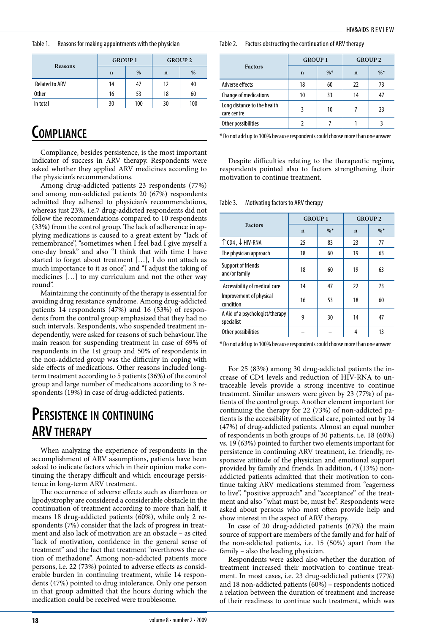Table 1. Reasons for making appointments with the physician

| Reasons               | <b>GROUP 1</b> |     | <b>GROUP 2</b> |     |  |
|-----------------------|----------------|-----|----------------|-----|--|
|                       | n              | %   | n              | %   |  |
| <b>Related to ARV</b> | 14             |     | 12             | 40  |  |
| <b>Other</b>          | 16             | 53  | 18             | 60  |  |
| In total              | 30             | 100 | 30             | 100 |  |

# **Compliance**

Compliance, besides persistence, is the most important indicator of success in ARV therapy. Respondents were asked whether they applied ARV medicines according to the physician's recommendations.

Among drug-addicted patients 23 respondents (77%) and among non-addicted patients 20 (67%) respondents admitted they adhered to physician's recommendations, whereas just 23%, i.e.7 drug-addicted respondents did not follow the recommendations compared to 10 respondents (33%) from the control group. The lack of adherence in applying medications is caused to a great extent by "lack of remembrance", "sometimes when I feel bad I give myself a one-day break" and also "I think that with time I have started to forget about treatment […], I do not attach as much importance to it as once", and "I adjust the taking of medicines […] to my curriculum and not the other way round".

Maintaining the continuity of the therapy is essential for avoiding drug resistance syndrome. Among drug-addicted patients 14 respondents (47%) and 16 (53%) of respondents from the control group emphasized that they had no such intervals. Respondents, who suspended treatment independently, were asked for reasons of such behaviour.The main reason for suspending treatment in case of 69% of respondents in the 1st group and 50% of respondents in the non-addicted group was the difficulty in coping with side effects of medications. Other reasons included longterm treatment according to 5 patients (36%) of the control group and large number of medications according to 3 respondents (19%) in case of drug-addicted patients.

# **Persistence in continuing ARV therapy**

When analyzing the experience of respondents in the accomplishment of ARV assumptions, patients have been asked to indicate factors which in their opinion make continuing the therapy difficult and which encourage persistence in long-term ARV treatment.

The occurrence of adverse effects such as diarrhoea or lipodystrophy are considered a considerable obstacle in the continuation of treatment according to more than half, it means 18 drug-addicted patients (60%), while only 2 respondents (7%) consider that the lack of progress in treatment and also lack of motivation are an obstacle – as cited "lack of motivation, confidence in the general sense of treatment" and the fact that treatment "overthrows the action of methadone". Among non-addicted patients more persons, i.e. 22 (73%) pointed to adverse effects as considerable burden in continuing treatment, while 14 respondents (47%) pointed to drug intolerance. Only one person in that group admitted that the hours during which the medication could be received were troublesome.

| Table 2. | Factors obstructing the continuation of ARV therapy |
|----------|-----------------------------------------------------|
|----------|-----------------------------------------------------|

|                                            | <b>GROUP 1</b> |        | <b>GROUP 2</b> |        |  |
|--------------------------------------------|----------------|--------|----------------|--------|--|
| <b>Factors</b>                             | n              | $\%^*$ | n              | $\%^*$ |  |
| Adverse effects                            | 18             | 60     | 22             | 73     |  |
| <b>Change of medications</b>               | 10             | 33     | 14             |        |  |
| Long distance to the health<br>care centre |                | 10     |                | 23     |  |
| Other possibilities                        |                |        |                |        |  |

\* Do not add up to 100% because respondents could choose more than one answer

Despite difficulties relating to the therapeutic regime, respondents pointed also to factors strengthening their motivation to continue treatment.

Table 3. Motivating factors to ARV therapy

|                                               | <b>GROUP 1</b> |        | <b>GROUP 2</b> |       |  |
|-----------------------------------------------|----------------|--------|----------------|-------|--|
| <b>Factors</b>                                | $\mathbf n$    | $\%^*$ | $\mathbf n$    | $\%*$ |  |
| ↑ CD4, ↓ HIV-RNA                              | 25             | 83     | 23             | 77    |  |
| The physician approach                        | 18             | 60     | 19             | 63    |  |
| Support of friends<br>and/or family           | 18             | 60     | 19             | 63    |  |
| Accessibility of medical care                 | 14             | 47     | 22             | 73    |  |
| Improvement of physical<br>condition          | 16             | 53     | 18             | 60    |  |
| A Aid of a psychologist/therapy<br>specialist | 9              | 30     | 14             | 47    |  |
| Other possibilities                           |                |        | 4              | 13    |  |

\* Do not add up to 100% because respondents could choose more than one answer

For 25 (83%) among 30 drug-addicted patients the increase of CD4 levels and reduction of HIV-RNA to untraceable levels provide a strong incentive to continue treatment. Similar answers were given by 23 (77%) of patients of the control group. Another element important for continuing the therapy for 22 (73%) of non-addicted patients is the accessibility of medical care, pointed out by 14 (47%) of drug-addicted patients. Almost an equal number of respondents in both groups of 30 patients, i.e. 18 (60%) vs. 19 (63%) pointed to further two elements important for persistence in continuing ARV treatment, i.e. friendly, responsive attitude of the physician and emotional support provided by family and friends. In addition, 4 (13%) nonaddicted patients admitted that their motivation to continue taking ARV medications stemmed from "eagerness to live", "positive approach" and "acceptance" of the treatment and also "what must be, must be". Respondents were asked about persons who most often provide help and show interest in the aspect of ARV therapy.

In case of 20 drug-addicted patients (67%) the main source of support are members of the family and for half of the non-addicted patients, i.e. 15 (50%) apart from the family – also the leading physician.

Respondents were asked also whether the duration of treatment increased their motivation to continue treatment. In most cases, i.e. 23 drug-addicted patients (77%) and 18 non-addicted patients (60%) – respondents noticed a relation between the duration of treatment and increase of their readiness to continue such treatment, which was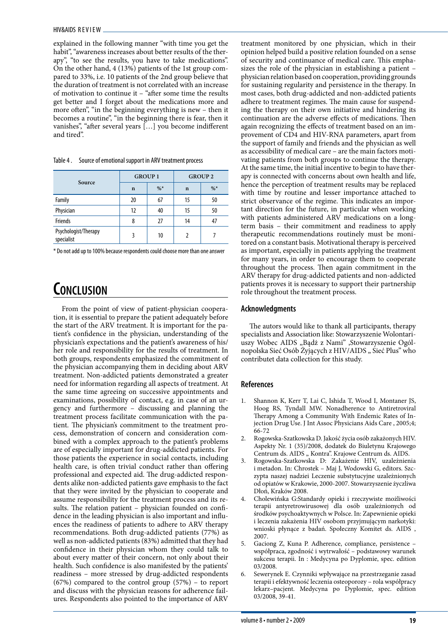explained in the following manner "with time you get the habit", "awareness increases about better results of the therapy", "to see the results, you have to take medications". On the other hand, 4 (13%) patients of the 1st group compared to 33%, i.e. 10 patients of the 2nd group believe that the duration of treatment is not correlated with an increase of motivation to continue it – "after some time the results get better and I forget about the medications more and more often", "in the beginning everything is new – then it becomes a routine", "in the beginning there is fear, then it vanishes", "after several years […] you become indifferent and tired".

|                                    | <b>GROUP 1</b> |        | <b>GROUP 2</b> |        |  |
|------------------------------------|----------------|--------|----------------|--------|--|
| Source                             | $\mathbf n$    | $\%^*$ | $\mathbf n$    | $\%$ * |  |
| Family                             | 20             | 67     | 15             | 50     |  |
| Physician                          | 12             | 40     | 15             | 50     |  |
| <b>Friends</b>                     | 8              | 27     | 14             | 47     |  |
| Psychologist/Therapy<br>specialist | 3              | 10     |                |        |  |

Table 4 . Source of emotional support in ARV treatment process

\* Do not add up to 100% because respondents could choose more than one answer

# **Conclusion**

From the point of view of patient-physician cooperation, it is essential to prepare the patient adequately before the start of the ARV treatment. It is important for the patient's confidence in the physician, understanding of the physician's expectations and the patient's awareness of his/ her role and responsibility for the results of treatment. In both groups, respondents emphasized the commitment of the physician accompanying them in deciding about ARV treatment. Non-addicted patients demonstrated a greater need for information regarding all aspects of treatment. At the same time agreeing on successive appointments and examinations, possibility of contact, e.g. in case of an urgency and furthermore – discussing and planning the treatment process facilitate communication with the patient. The physician's commitment to the treatment process, demonstration of concern and consideration combined with a complex approach to the patient's problems are of especially important for drug-addicted patients. For those patients the experience in social contacts, including health care, is often trivial conduct rather than offering professional and expected aid. The drug-addicted respondents alike non-addicted patients gave emphasis to the fact that they were invited by the physician to cooperate and assume responsibility for the treatment process and its results. The relation patient – physician founded on confidence in the leading physician is also important and influences the readiness of patients to adhere to ARV therapy recommendations. Both drug-addicted patients (77%) as well as non-addicted patients (83%) admitted that they had confidence in their physician whom they could talk to about every matter of their concern, not only about their health. Such confidence is also manifested by the patients' readiness – more stressed by drug-addicted respondents (67%) compared to the control group (57%) – to report and discuss with the physician reasons for adherence failures. Respondents also pointed to the importance of ARV treatment monitored by one physician, which in their opinion helped build a positive relation founded on a sense of security and continuance of medical care. This emphasizes the role of the physician in establishing a patient – physician relation based on cooperation, providing grounds for sustaining regularity and persistence in the therapy. In most cases, both drug-addicted and non-addicted patients adhere to treatment regimes. The main cause for suspending the therapy on their own initiative and hindering its continuation are the adverse effects of medications. Then again recognizing the effects of treatment based on an improvement of CD4 and HIV-RNA parameters, apart from the support of family and friends and the physician as well as accessibility of medical care – are the main factors motivating patients from both groups to continue the therapy. At the same time, the initial incentive to begin to have therapy is connected with concerns about own health and life, hence the perception of treatment results may be replaced with time by routine and lesser importance attached to strict observance of the regime. This indicates an important direction for the future, in particular when working with patients administered ARV medications on a longterm basis – their commitment and readiness to apply therapeutic recommendations routinely must be monitored on a constant basis. Motivational therapy is perceived as important, especially in patients applying the treatment for many years, in order to encourage them to cooperate throughout the process. Then again commitment in the ARV therapy for drug-addicted patients and non-addicted patients proves it is necessary to support their partnership role throughout the treatment process.

## **Acknowledgments**

The autors would like to thank all participants, therapy specialists and Association like: Stowarzyszenie Wolontariuszy Wobec AIDS "Bądż z Nami" ,Stowarzyszenie Ogólnopolska Sieć Osób Żyjących z HIV/AIDS "Sieć Plus" who contributet data collection for this study.

## **References**

- 1. Shannon K, Kerr T, Lai C, Ishida T, Wood I, Montaner JS, Hoog RS, Tyndall MW. Nonadherence to Antiretroviral Therapy Among a Community With Endemic Rates of Injection Drug Use. J Int Assoc Physicians Aids Care , 2005;4; 66-72
- 2. Rogowska-Szatkowska D. Jakość życia osób zakażonych HIV. Aspekty Nr. 1 (35)/2008, dodatek do Biuletynu Krajowego Centrum ds. AIDS "Kontra". Krajowe Centrum ds. AIDS.
- 3. Rogowska-Szatkowska D: Zakażenie HIV, uzależnienia i metadon. In: Chrostek – Maj J, Wodowski G, editors. Szczypta naszej nadziei Leczenie substytucyjne uzależnionych od opiatów w Krakowie, 2000-2007. Stowarzyszenie życzliwa Dłoń, Kraków 2008.
- 4. Cholewińska G:Standardy opieki i rzeczywiste możliwości terapii antyretrowirusowej dla osób uzależnionych od środków psychoaktywnych w Polsce. In: Zapewnienie opieki i leczenia zakażenia HIV osobom przyjmującym narkotyki: wnioski płynące z badań. Społeczny Komitet ds. AIDS , 2007.
- 5. Gaciong Z, Kuna P. Adherence, compliance, persistence współpraca, zgodność i wytrwałość – podstawowy warunek sukcesu terapii. In : Medycyna po Dyplomie, spec. edition 03/2008.
- 6. Sewerynek E. Czynniki wpływające na przestrzeganie zasad terapii i efektywność leczenia osteoporozy – rola współpracy lekarz–pacjent. Medycyna po Dyplomie, spec. edition 03/2008, 39-41.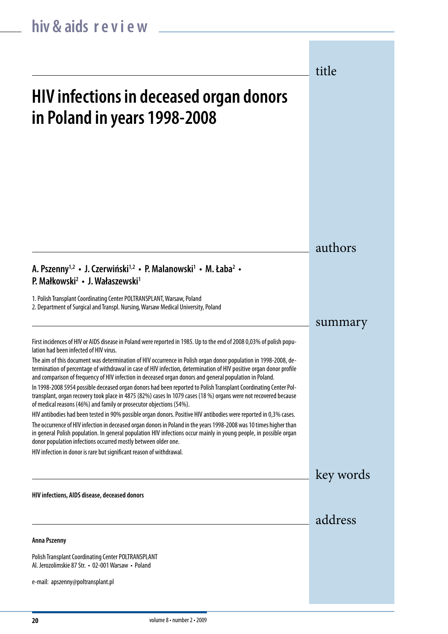title

# **HIV infections in deceased organ donors in Poland in years 1998-2008**

## authors

## **A. Pszenny1,2 • J. Czerwiński1,2 • P. Malanowski1 • M. Łaba2 • P. Małkowski2 • J. Wałaszewski1**

1. Polish Transplant Coordinating Center POLTRANSPLANT, Warsaw, Poland 2. Department of Surgical and Transpl. Nursing, Warsaw Medical University, Poland

## summary

key words

address

First incidences of HIV or AIDS disease in Poland were reported in 1985. Up to the end of 2008 0,03% of polish population had been infected of HIV virus.

The aim of this document was determination of HIV occurrence in Polish organ donor population in 1998-2008, determination of percentage of withdrawal in case of HIV infection, determination of HIV positive organ donor profile and comparison of frequency of HIV infection in deceased organ donors and general population in Poland.

In 1998-2008 5954 possible deceased organ donors had been reported to Polish Transplant Coordinating Center Poltransplant, organ recovery took place in 4875 (82%) cases In 1079 cases (18 %) organs were not recovered because of medical reasons (46%) and family or prosecutor objections (54%).

HIV antibodies had been tested in 90% possible organ donors. Positive HIV antibodies were reported in 0,3% cases.

The occurrence of HIV infection in deceased organ donors in Poland in the years 1998-2008 was 10 times higher than in general Polish population. In general population HIV infections occur mainly in young people, in possible organ donor population infections occurred mostly between older one.

HIV infection in donor is rare but significant reason of withdrawal.

**HIV infections, AIDS disease, deceased donors**

## **Anna Pszenny**

Polish Transplant Coordinating Center POLTRANSPLANT Al. Jerozolimskie 87 Str. • 02-001 Warsaw • Poland

e-mail: apszenny@poltransplant.pl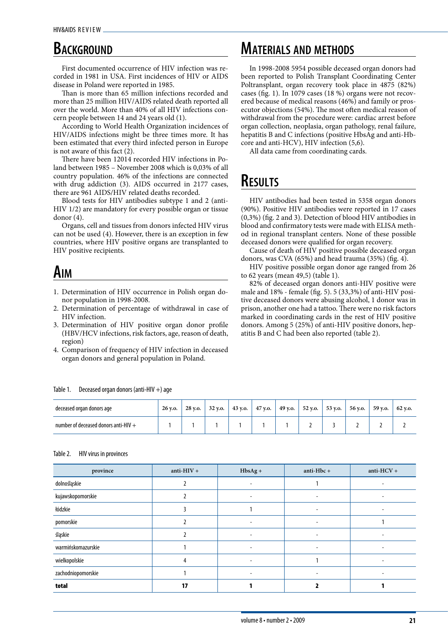# **BACKGROUND**

First documented occurrence of HIV infection was recorded in 1981 in USA. First incidences of HIV or AIDS disease in Poland were reported in 1985.

Than is more than 65 million infections recorded and more than 25 million HIV/AIDS related death reported all over the world. More than 40% of all HIV infections concern people between 14 and 24 years old (1).

According to World Health Organization incidences of HIV/AIDS infections might be three times more. It has been estimated that every third infected person in Europe is not aware of this fact (2).

There have been 12014 recorded HIV infections in Poland between 1985 – November 2008 which is 0,03% of all country population. 46% of the infections are connected with drug addiction (3). AIDS occurred in 2177 cases, there are 961 AIDS/HIV related deaths recorded.

Blood tests for HIV antibodies subtype 1 and 2 (anti-HIV 1/2) are mandatory for every possible organ or tissue donor (4).

Organs, cell and tissues from donors infected HIV virus can not be used (4). However, there is an exception in few countries, where HIV positive organs are transplanted to HIV positive recipients.

# **Aim**

- 1. Determination of HIV occurrence in Polish organ donor population in 1998-2008.
- 2. Determination of percentage of withdrawal in case of HIV infection.
- 3. Determination of HIV positive organ donor profile (HBV/HCV infections, risk factors, age, reason of death, region)
- 4. Comparison of frequency of HIV infection in deceased organ donors and general population in Poland.

# **Materials and methods**

In 1998-2008 5954 possible deceased organ donors had been reported to Polish Transplant Coordinating Center Poltransplant, organ recovery took place in 4875 (82%) cases (fig. 1). In 1079 cases (18 %) organs were not recovered because of medical reasons (46%) and family or prosecutor objections (54%). The most often medical reason of withdrawal from the procedure were: cardiac arrest before organ collection, neoplasia, organ pathology, renal failure, hepatitis B and C infections (positive HbsAg and anti-Hbcore and anti-HCV), HIV infection (5,6).

All data came from coordinating cards.

# **Results**

HIV antibodies had been tested in 5358 organ donors (90%). Positive HIV antibodies were reported in 17 cases (0,3%) (fig. 2 and 3). Detection of blood HIV antibodies in blood and confirmatory tests were made with ELISA method in regional transplant centers. None of these possible deceased donors were qualified for organ recovery.

Cause of death of HIV positive possible deceased organ donors, was CVA (65%) and head trauma (35%) (fig. 4).

HIV positive possible organ donor age ranged from 26 to 62 years (mean 49,5) (table 1).

82% of deceased organ donors anti-HIV positive were male and 18% - female (fig. 5). 5 (33,3%) of anti-HIV positive deceased donors were abusing alcohol, 1 donor was in prison, another one had a tattoo. There were no risk factors marked in coordinating cards in the rest of HIV positive donors. Among 5 (25%) of anti-HIV positive donors, hepatitis B and C had been also reported (table 2).

| deceased organ donors age              | 26 y.o. | 28 v.o. | 32 v.o. | 43 v.o. | 47 y.o. | 49 y.o. | 52 y.o. | 53 y.o. | 56 v.o. | 59 v.o. | 62 v.o. |
|----------------------------------------|---------|---------|---------|---------|---------|---------|---------|---------|---------|---------|---------|
| number of deceased donors anti-HIV $+$ |         |         |         |         |         |         |         |         |         |         |         |

## Table 2. HIV virus in provinces

Table 1. Deceased organ donors (anti-HIV  $+$ ) age

| province           | anti- $HIV +$ | $HbsAg +$                | anti-Hbc +               | anti-HCV + |
|--------------------|---------------|--------------------------|--------------------------|------------|
| dolnośląskie       |               | ۰                        |                          |            |
| kujawskopomorskie  |               | $\overline{\phantom{a}}$ | ٠                        |            |
| łódzkie            |               |                          |                          |            |
| pomorskie          |               | ۰                        |                          |            |
| śląskie            |               |                          | ۰                        |            |
| warmińskomazurskie |               | $\overline{\phantom{a}}$ | $\overline{\phantom{a}}$ |            |
| wielkopolskie      |               | $\overline{\phantom{a}}$ |                          |            |
| zachodniopomorskie |               |                          |                          |            |
| total              | 17            |                          |                          |            |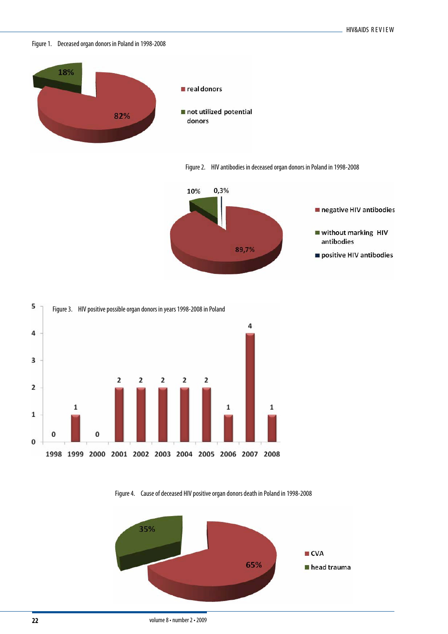Figure 1. Deceased organ donors in Poland in 1998-2008



Figure 2. HIV antibodies in deceased organ donors in Poland in 1998-2008







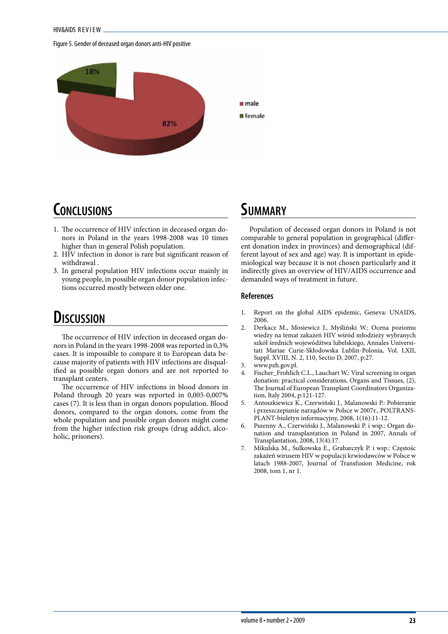#### Figure 5. Gender of deceased organ donors anti-HIV positive



# **Conclusions**

- 1. The occurrence of HIV infection in deceased organ donors in Poland in the years 1998-2008 was 10 times higher than in general Polish population.
- 2. HIV infection in donor is rare but significant reason of withdrawal .
- 3. In general population HIV infections occur mainly in young people, in possible organ donor population infections occurred mostly between older one.

# **Discussion**

The occurrence of HIV infection in deceased organ donors in Poland in the years 1998-2008 was reported in 0,3% cases. It is impossible to compare it to European data because majority of patients with HIV infections are disqualified as possible organ donors and are not reported to transplant centers.

The occurrence of HIV infections in blood donors in Poland through 20 years was reported in 0,005-0,007% cases (7). It is less than in organ donors population. Blood donors, compared to the organ donors, come from the whole population and possible organ donors might come from the higher infection risk groups (drug addict, alcoholic, prisoners).

## **Summary**

Population of deceased organ donors in Poland is not comparable to general population in geographical (different donation index in provinces) and demographical (different layout of sex and age) way. It is important in epidemiological way because it is not chosen particularly and it indirectly gives an overview of HIV/AIDS occurrence and demanded ways of treatment in future.

## **References**

- 1. Report on the global AIDS epidemic, Geneva: UNAIDS, 2006.
- 2. Derkacz M., Mosiewicz J., Myśliński W.: Ocena poziomu wiedzy na temat zakażeń HIV wśród młodzieży wybranych szkół średnich wojewódźtwa lubelskiego, Annales Universitati Mariae Curie-Skłodowska Lublin-Polonia, Vol. LXII, Suppl. XVIII, N. 2, 110, Sectio D, 2007, p:27.
- 3. www.pzh.gov.pl.
- 4. Fischer\_Frohlich C.L., Lauchart W.: Viral screening in organ donation: practical considerations, Organs and Tissues, (2), The Journal of European Transplant Coordinators Organization, Italy 2004, p:121-127.
- 5. Antoszkiewicz K., Czerwiński J., Malanowski P.: Pobieranie i przeszczepianie narządów w Polsce w 2007r., POLTRANS-PLANT-biuletyn informacyjny, 2008, 1(16):11-12.
- 6. Pszenny A., Czerwiński J., Malanowski P. i wsp.: Organ donation and transplantation in Poland in 2007, Annals of Transplantation, 2008, 13(4):17.
- 7. Mikulska M., Sulkowska E., Grabarczyk P. i wsp.: Częstośc zakażeń wirusem HIV w populacji krwiodawców w Polsce w latach 1988-2007, Journal of Transfusion Medicine, rok 2008, tom 1, nr 1.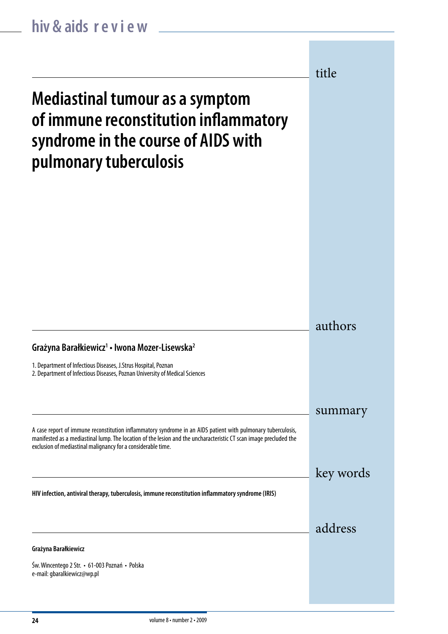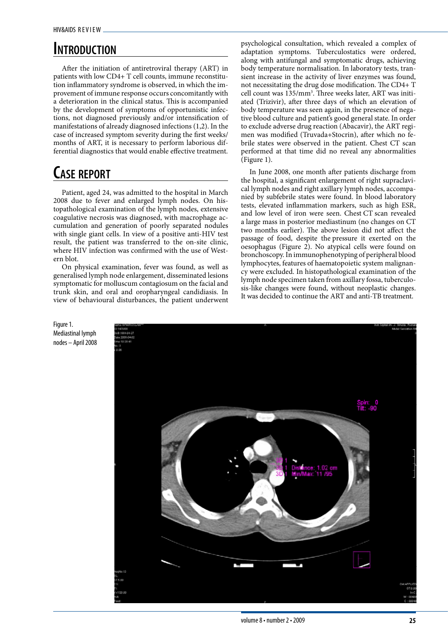# **Introduction**

After the initiation of antiretroviral therapy (ART) in patients with low CD4+ T cell counts, immune reconstitution inflammatory syndrome is observed, in which the improvement of immune response occurs concomitantly with a deterioration in the clinical status. This is accompanied by the development of symptoms of opportunistic infections, not diagnosed previously and/or intensification of manifestations of already diagnosed infections (1,2). In the case of increased symptom severity during the first weeks/ months of ART, it is necessary to perform laborious differential diagnostics that would enable effective treatment.

# **Case report**

Patient, aged 24, was admitted to the hospital in March 2008 due to fever and enlarged lymph nodes. On histopathological examination of the lymph nodes, extensive coagulative necrosis was diagnosed, with macrophage accumulation and generation of poorly separated nodules with single giant cells. In view of a positive anti-HIV test result, the patient was transferred to the on-site clinic, where HIV infection was confirmed with the use of Western blot.

On physical examination, fever was found, as well as generalised lymph node enlargement, disseminated lesions symptomatic for molluscum contagiosum on the facial and trunk skin, and oral and oropharyngeal candidiasis. In view of behavioural disturbances, the patient underwent psychological consultation, which revealed a complex of adaptation symptoms. Tuberculostatics were ordered, along with antifungal and symptomatic drugs, achieving body temperature normalisation. In laboratory tests, transient increase in the activity of liver enzymes was found, not necessitating the drug dose modification. The CD4+ T cell count was 135/mm<sup>3</sup>. Three weeks later, ART was initiated (Trizivir), after three days of which an elevation of body temperature was seen again, in the presence of negative blood culture and patient's good general state. In order to exclude adverse drug reaction (Abacavir), the ART regimen was modified (Truvada+Stocrin), after which no febrile states were observed in the patient. Chest CT scan performed at that time did no reveal any abnormalities (Figure 1).

In June 2008, one month after patients discharge from the hospital, a significant enlargement of right supraclavical lymph nodes and right axillary lymph nodes, accompanied by subfebrile states were found. In blood laboratory tests, elevated inflammation markers, such as high ESR, and low level of iron were seen. Chest CT scan revealed a large mass in posterior mediastinum (no changes on CT two months earlier). The above lesion did not affect the passage of food, despite the pressure it exerted on the oesophagus (Figure 2). No atypical cells were found on bronchoscopy. In immunophenotyping of peripheral blood lymphocytes, features of haematopoietic system malignancy were excluded. In histopathological examination of the lymph node specimen taken from axillary fossa, tuberculosis-like changes were found, without neoplastic changes. It was decided to continue the ART and anti-TB treatment.



Figure 1. Mediastinal lymph nodes – April 2008

volume 8 • number 2 • 2009 **25** Fig. 1. Mediastinal lymph nodes – April 2008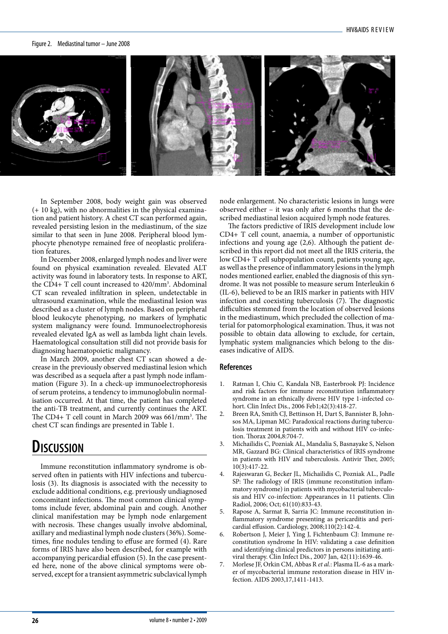#### Figure 2. Mediastinal tumor – June 2008



In September 2008, body weight gain was observed (+ 10 kg), with no abnormalities in the physical examina-(+ 10 kg), whil no abnormances in the physical examination and patient history. A chest CT scan performed again, revealed persisting lesion in the mediastinum, of the size similar to that seen in June 2008. Peripheral blood lymphocyte phenotype remained free of neoplastic proliferation features.

In December 2008, enlarged lymph nodes and liver were found on physical examination revealed. Elevated ALT activity was found in laboratory tests. In response to ART, the CD4+ T cell count increased to 420/mm3 . Abdominal CT scan revealed infiltration in spleen, undetectable in ultrasound examination, while the mediastinal lesion was described as a cluster of lymph nodes. Based on peripheral blood leukocyte phenotyping, no markers of lymphatic system malignancy were found. Immunoelectrophoresis revealed elevated IgA as well as lambda light chain levels. Haematological consultation still did not provide basis for diagnosing haematopoietic malignancy.

In March 2009, another chest CT scan showed a decrease in the previously observed mediastinal lesion which was described as a sequela after a past lymph node inflammation (Figure 3). In a check-up immunoelectrophoresis of serum proteins, a tendency to immunoglobulin normalisation occurred. At that time, the patient has completed the anti-TB treatment, and currently continues the ART. The CD4+ T cell count in March 2009 was 661/mm<sup>3</sup>. The chest CT scan findings are presented in Table 1.

## **Discussion**

Immune reconstitution inflammatory syndrome is observed often in patients with HIV infections and tuberculosis (3). Its diagnosis is associated with the necessity to exclude additional conditions, e.g. previously undiagnosed concomitant infections. The most common clinical symptoms include fever, abdominal pain and cough. Another clinical manifestation may be lymph node enlargement with necrosis. These changes usually involve abdominal, axillary and mediastinal lymph node clusters (36%). Sometimes, fine nodules tending to effuse are formed (4). Rare forms of IRIS have also been described, for example with accompanying pericardial effusion (5). In the case presented here, none of the above clinical symptoms were observed, except for a transient asymmetric subclavical lymph node enlargement. No characteristic lesions in lungs were observed either – it was only after 6 months that the described mediastinal lesion acquired lymph node features.

The factors predictive of IRIS development include low CD4+ T cell count, anaemia, a number of opportunistic infections and young age (2,6). Although the patient described in this report did not meet all the IRIS criteria, the low CD4+ T cell subpopulation count, patients young age, as well as the presence of inflammatory lesions in the lymph nodes mentioned earlier, enabled the diagnosis of this syndrome. It was not possible to measure serum Interleukin 6 (IL-6), believed to be an IRIS marker in patients with HIV infection and coexisting tuberculosis (7). The diagnostic difficulties stemmed from the location of observed lesions in the mediastinum, which precluded the collection of material for patomorphological examination. Thus, it was not possible to obtain data allowing to exclude, for certain, lymphatic system malignancies which belong to the diseases indicative of AIDS.

## **References**

- 1. Ratman I, Chiu C, Kandala NB, Easterbrook PJ: Incidence and risk factors for immune reconstitution inflammatory syndrome in an ethnically diverse HIV type 1-infected cohort. Clin Infect Dis., 2006 Feb1;42(3):418-27.
- Breen RA, Smith CJ, Bettinson H, Dart S, Bannister B, Johnsos MA, Lipman MC: Paradoxical reactions during tuberculosis treatment in patients with and without HIV co-infection. Thorax 2004,8:704-7.
- 3. Michailidis C, Pozniak AL, Mandalia S, Basnayake S, Nelson MR, Gazzard BG: Clinical characteristics of IRIS syndrome in patients with HIV and tuberculosis. Antivir Ther, 2005;  $10(3):417-22.$
- 4. Rajeswaran G, Becker JL, Michailidis C, Pozniak AL., Padle SP: The radiology of IRIS (immune reconstitution inflammatory syndrome) in patients with mycobacterial tuberculosis and HIV co-infection: Appearances in 11 patients. Clin Radiol, 2006; Oct; 61(10):833-43.
- 5. Rapose A, Sarmat B, Sarria JC: Immune reconstitution inflammatory syndrome presenting as pericarditis and pericardial effusion. Cardiology, 2008;110(2):142-4.
- Robertson J, Meier J, Ying J, Fichtenbaum CJ: Immune reconstitution syndrome In HIV: validating a case definition and identifying clinical predictors in persons initiating antiviral therapy. Clin Infect Dis., 2007 Jan, 42(11):1639-46.
- 7. Morlese JF, Orkin CM, Abbas R *et al.*: Plasma IL-6 as a marker of mycobacterial immune restoration disease in HIV infection. AIDS 2003,17,1411-1413.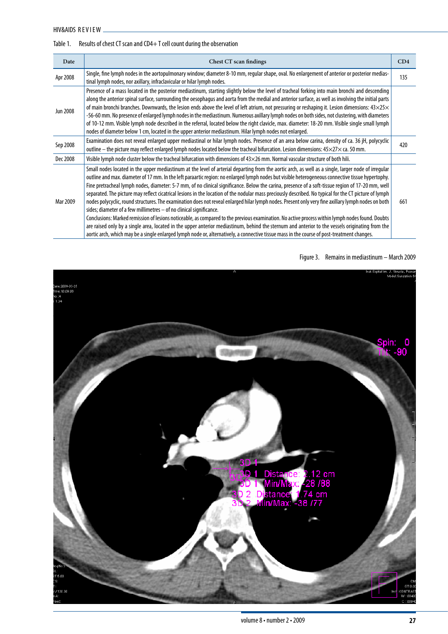## Table 1. Results of chest CT scan and CD4+T cell count during the observation

| Date            | Chest CT scan findings                                                                                                                                                                                                                                                                                                                                                                                                                                                                                                                                                                                                                                                                                                                                                                                                                                                                                                                                                                                                                                                                                                                                                                                                                                                                                       | CD4 |
|-----------------|--------------------------------------------------------------------------------------------------------------------------------------------------------------------------------------------------------------------------------------------------------------------------------------------------------------------------------------------------------------------------------------------------------------------------------------------------------------------------------------------------------------------------------------------------------------------------------------------------------------------------------------------------------------------------------------------------------------------------------------------------------------------------------------------------------------------------------------------------------------------------------------------------------------------------------------------------------------------------------------------------------------------------------------------------------------------------------------------------------------------------------------------------------------------------------------------------------------------------------------------------------------------------------------------------------------|-----|
| Apr 2008        | Single, fine lymph nodes in the aortopulmonary window; diameter 8-10 mm, regular shape, oval. No enlargement of anterior or posterior medias-<br>tinal lymph nodes, nor axillary, infraclavicular or hilar lymph nodes.                                                                                                                                                                                                                                                                                                                                                                                                                                                                                                                                                                                                                                                                                                                                                                                                                                                                                                                                                                                                                                                                                      | 135 |
| <b>Jun 2008</b> | Presence of a mass located in the posterior mediastinum, starting slightly below the level of tracheal forking into main bronchi and descending<br>along the anterior spinal surface, surrounding the oesophagus and aorta from the medial and anterior surface, as well as involving the initial parts<br>of main bronchi branches. Downwards, the lesion ends above the level of left atrium, not pressuring or reshaping it. Lesion dimensions: $43\times25\times$<br>-56-60 mm. No presence of enlarged lymph nodes in the mediastinum. Numerous axillary lymph nodes on both sides, not clustering, with diameters<br>of 10-12 mm. Visible lymph node described in the referral, located below the right clavicle, max. diameter: 18-20 mm. Visible single small lymph<br>nodes of diameter below 1 cm, located in the upper anterior mediastinum. Hilar lymph nodes not enlarged.                                                                                                                                                                                                                                                                                                                                                                                                                      |     |
| Sep 2008        | Examination does not reveal enlarged upper mediastinal or hilar lymph nodes. Presence of an area below carina, density of ca. 36 jH, polycyclic<br>outline – the picture may reflect enlarged lymph nodes located below the tracheal bifurcation. Lesion dimensions: 45×27× ca. 50 mm.                                                                                                                                                                                                                                                                                                                                                                                                                                                                                                                                                                                                                                                                                                                                                                                                                                                                                                                                                                                                                       | 420 |
| Dec 2008        | Visible lymph node cluster below the tracheal bifurcation with dimensions of $43\times26$ mm. Normal vascular structure of both hili.                                                                                                                                                                                                                                                                                                                                                                                                                                                                                                                                                                                                                                                                                                                                                                                                                                                                                                                                                                                                                                                                                                                                                                        |     |
| Mar 2009        | Small nodes located in the upper mediastinum at the level of arterial departing from the aortic arch, as well as a single, larger node of irregular<br>outline and max. diameter of 17 mm. In the left paraartic region: no enlarged lymph nodes but visible heterogeneous connective tissue hypertophy.<br>Fine pretracheal lymph nodes, diameter: 5-7 mm, of no clinical significance. Below the carina, presence of a soft-tissue region of 17-20 mm, well<br>separated. The picture may reflect cicatrical lesions in the location of the nodular mass preciously described. No typical for the CT picture of lymph<br>nodes polycyclic, round structures. The examination does not reveal enlarged hilar lymph nodes. Present only very fine axillary lymph nodes on both<br>sides; diameter of a few millimetres - of no clinical significance.<br>Conclusions: Marked remission of lesions noticeable, as compared to the previous examination. No active process within lymph nodes found. Doubts<br>are raised only by a single area, located in the upper anterior mediastinum, behind the sternum and anterior to the vessels originating from the<br>aortic arch, which may be a single enlarged lymph node or, alternatively, a connective tissue mass in the course of post-treatment changes. | 661 |

Figure 3. Remains in mediastinum – March 2009

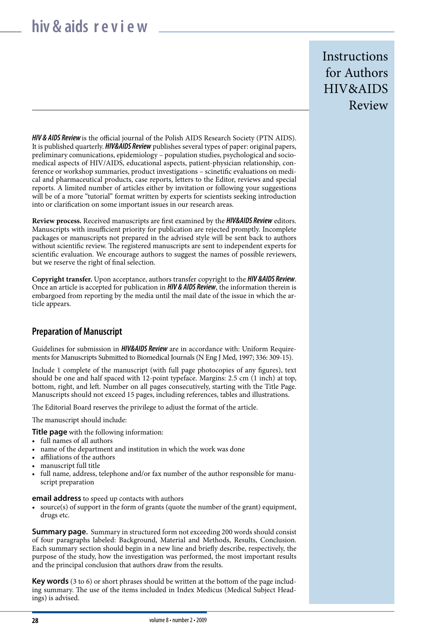# **hiv & aids r e v i e w**

**Instructions** for Authors HIV&AIDS Review

*HIV & AIDS Review* is the official journal of the Polish AIDS Research Society (PTN AIDS). It is published quarterly. *HIV&AIDS Review* publishes several types of paper: original papers, preliminary comunications, epidemiology – population studies, psychological and sociomedical aspects of HIV/AIDS, educational aspects, patient-physician relationship, conference or workshop summaries, product investigations – scinetific evaluations on medical and pharmaceutical products, case reports, letters to the Editor, reviews and special reports. A limited number of articles either by invitation or following your suggestions will be of a more "tutorial" format written by experts for scientists seeking introduction into or clarification on some important issues in our research areas.

**Review process.** Received manuscripts are first examined by the *HIV&AIDS Review* editors. Manuscripts with insufficient priority for publication are rejected promptly. Incomplete packages or manuscripts not prepared in the advised style will be sent back to authors without scientific review. The registered manuscripts are sent to independent experts for scientific evaluation. We encourage authors to suggest the names of possible reviewers, but we reserve the right of final selection.

**Copyright transfer.** Upon acceptance, authors transfer copyright to the *HIV &AIDS Review*. Once an article is accepted for publication in *HIV & AIDS Review*, the information therein is embargoed from reporting by the media until the mail date of the issue in which the article appears.

## **Preparation of Manuscript**

Guidelines for submission in *HIV&AIDS Review* are in accordance with: Uniform Requirements for Manuscripts Submitted to Biomedical Journals (N Eng J Med, 1997; 336: 309-15).

Include 1 complete of the manuscript (with full page photocopies of any figures), text should be one and half spaced with 12-point typeface. Margins: 2.5 cm (1 inch) at top, bottom, right, and left. Number on all pages consecutively, starting with the Title Page. Manuscripts should not exceed 15 pages, including references, tables and illustrations.

The Editorial Board reserves the privilege to adjust the format of the article.

The manuscript should include:

**Title page** with the following information:

- full names of all authors
- name of the department and institution in which the work was done
- affiliations of the authors
- manuscript full title
- full name, address, telephone and/or fax number of the author responsible for manuscript preparation

**email address** to speed up contacts with authors

• source(s) of support in the form of grants (quote the number of the grant) equipment, drugs etc.

**Summary page.** Summary in structured form not exceeding 200 words should consist of four paragraphs labeled: Background, Material and Methods, Results, Conclusion. Each summary section should begin in a new line and briefly describe, respectively, the purpose of the study, how the investigation was performed, the most important results and the principal conclusion that authors draw from the results.

**Key words** (3 to 6) or short phrases should be written at the bottom of the page including summary. The use of the items included in Index Medicus (Medical Subject Headings) is advised.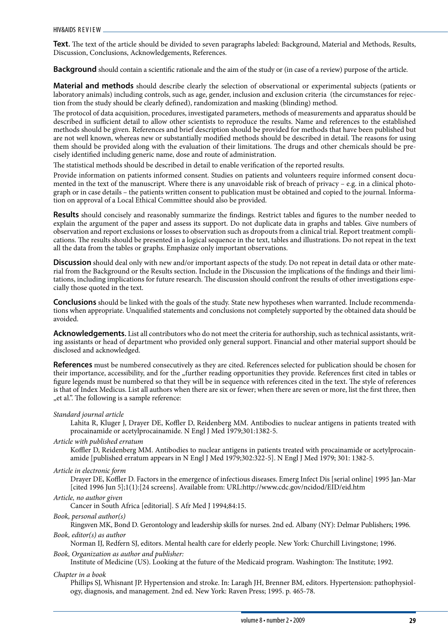**Text.** The text of the article should be divided to seven paragraphs labeled: Background, Material and Methods, Results, Discussion, Conclusions, Acknowledgements, References.

**Background** should contain a scientific rationale and the aim of the study or (in case of a review) purpose of the article.

**Material and methods** should describe clearly the selection of observational or experimental subjects (patients or laboratory animals) including controls, such as age, gender, inclusion and exclusion criteria (the circumstances for rejection from the study should be clearly defined), randomization and masking (blinding) method.

The protocol of data acquisition, procedures, investigated parameters, methods of measurements and apparatus should be described in sufficient detail to allow other scientists to reproduce the results. Name and references to the established methods should be given. References and brief description should be provided for methods that have been published but are not well known, whereas new or substantially modified methods should be described in detail. The reasons for using them should be provided along with the evaluation of their limitations. The drugs and other chemicals should be precisely identified including generic name, dose and route of administration.

The statistical methods should be described in detail to enable verification of the reported results.

Provide information on patients informed consent. Studies on patients and volunteers require informed consent documented in the text of the manuscript. Where there is any unavoidable risk of breach of privacy – e.g. in a clinical photograph or in case details – the patients written consent to publication must be obtained and copied to the journal. Information on approval of a Local Ethical Committee should also be provided.

**Results** should concisely and reasonably summarize the findings. Restrict tables and figures to the number needed to explain the argument of the paper and assess its support. Do not duplicate data in graphs and tables. Give numbers of observation and report exclusions or losses to observation such as dropouts from a clinical trial. Report treatment complications. The results should be presented in a logical sequence in the text, tables and illustrations. Do not repeat in the text all the data from the tables or graphs. Emphasize only important observations.

**Discussion** should deal only with new and/or important aspects of the study. Do not repeat in detail data or other material from the Background or the Results section. Include in the Discussion the implications of the findings and their limitations, including implications for future research. The discussion should confront the results of other investigations especially those quoted in the text.

**Conclusions** should be linked with the goals of the study. State new hypotheses when warranted. Include recommendations when appropriate. Unqualified statements and conclusions not completely supported by the obtained data should be avoided.

**Acknowledgements.** List all contributors who do not meet the criteria for authorship, such as technical assistants, writing assistants or head of department who provided only general support. Financial and other material support should be disclosed and acknowledged.

**References** must be numbered consecutively as they are cited. References selected for publication should be chosen for their importance, accessibility, and for the "further reading opportunities they provide. References first cited in tables or figure legends must be numbered so that they will be in sequence with references cited in the text. The style of references is that of Index Medicus. List all authors when there are six or fewer; when there are seven or more, list the first three, then "et al.". The following is a sample reference:

## *Standard journal article*

Lahita R, Kluger J, Drayer DE, Koffler D, Reidenberg MM. Antibodies to nuclear antigens in patients treated with procainamide or acetylprocainamide. N Engl J Med 1979;301:1382-5.

## *Article with published erratum*

Koffler D, Reidenberg MM. Antibodies to nuclear antigens in patients treated with procainamide or acetylprocainamide [published erratum appears in N Engl J Med 1979;302:322-5]. N Engl J Med 1979; 301: 1382-5.

## *Article in electronic form*

Drayer DE, Koffler D. Factors in the emergence of infectious diseases. Emerg Infect Dis [serial online] 1995 Jan-Mar [cited 1996 Jun 5];1(1):[24 screens]. Available from: URL:http://www.cdc.gov/ncidod/EID/eid.htm

## *Article, no author given*

Cancer in South Africa [editorial]. S Afr Med J 1994;84:15.

## *Book, personal author(s)*

Ringsven MK, Bond D. Gerontology and leadership skills for nurses. 2nd ed. Albany (NY): Delmar Publishers; 1996. *Book, editor(s) as author*

Norman IJ, Redfern SJ, editors. Mental health care for elderly people. New York: Churchill Livingstone; 1996.

## *Book, Organization as author and publisher:*

Institute of Medicine (US). Looking at the future of the Medicaid program. Washington: The Institute; 1992.

## *Chapter in a book*

Phillips SJ, Whisnant JP. Hypertension and stroke. In: Laragh JH, Brenner BM, editors. Hypertension: pathophysiology, diagnosis, and management. 2nd ed. New York: Raven Press; 1995. p. 465-78.